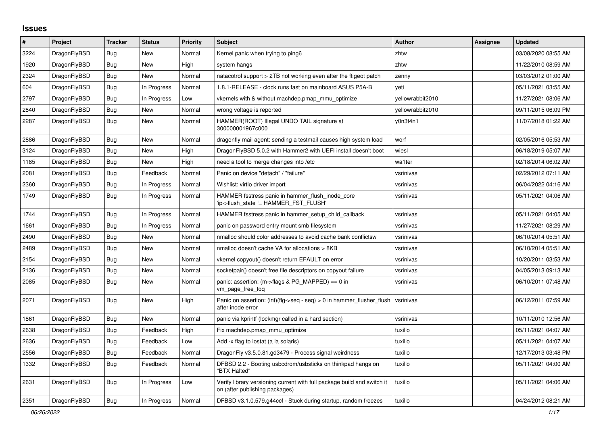## **Issues**

| #    | Project      | <b>Tracker</b> | <b>Status</b> | <b>Priority</b> | <b>Subject</b>                                                                                            | <b>Author</b>    | Assignee | <b>Updated</b>      |
|------|--------------|----------------|---------------|-----------------|-----------------------------------------------------------------------------------------------------------|------------------|----------|---------------------|
| 3224 | DragonFlyBSD | <b>Bug</b>     | <b>New</b>    | Normal          | Kernel panic when trying to ping6                                                                         | zhtw             |          | 03/08/2020 08:55 AM |
| 1920 | DragonFlyBSD | Bug            | New           | High            | system hangs                                                                                              | zhtw             |          | 11/22/2010 08:59 AM |
| 2324 | DragonFlyBSD | <b>Bug</b>     | New           | Normal          | natacotrol support > 2TB not working even after the ftigeot patch                                         | zenny            |          | 03/03/2012 01:00 AM |
| 604  | DragonFlyBSD | Bug            | In Progress   | Normal          | 1.8.1-RELEASE - clock runs fast on mainboard ASUS P5A-B                                                   | yeti             |          | 05/11/2021 03:55 AM |
| 2797 | DragonFlyBSD | Bug            | In Progress   | Low             | vkernels with & without machdep.pmap mmu optimize                                                         | vellowrabbit2010 |          | 11/27/2021 08:06 AM |
| 2840 | DragonFlyBSD | <b>Bug</b>     | <b>New</b>    | Normal          | wrong voltage is reported                                                                                 | vellowrabbit2010 |          | 09/11/2015 06:09 PM |
| 2287 | DragonFlyBSD | Bug            | <b>New</b>    | Normal          | HAMMER(ROOT) Illegal UNDO TAIL signature at<br>300000001967c000                                           | y0n3t4n1         |          | 11/07/2018 01:22 AM |
| 2886 | DragonFlyBSD | <b>Bug</b>     | <b>New</b>    | Normal          | dragonfly mail agent: sending a testmail causes high system load                                          | worf             |          | 02/05/2016 05:53 AM |
| 3124 | DragonFlyBSD | Bug            | New           | High            | DragonFlyBSD 5.0.2 with Hammer2 with UEFI install doesn't boot                                            | wiesl            |          | 06/18/2019 05:07 AM |
| 1185 | DragonFlyBSD | Bug            | New           | High            | need a tool to merge changes into /etc                                                                    | wa1ter           |          | 02/18/2014 06:02 AM |
| 2081 | DragonFlyBSD | Bug            | Feedback      | Normal          | Panic on device "detach" / "failure"                                                                      | vsrinivas        |          | 02/29/2012 07:11 AM |
| 2360 | DragonFlyBSD | <b>Bug</b>     | In Progress   | Normal          | Wishlist: virtio driver import                                                                            | vsrinivas        |          | 06/04/2022 04:16 AM |
| 1749 | DragonFlyBSD | <b>Bug</b>     | In Progress   | Normal          | HAMMER fsstress panic in hammer_flush_inode_core<br>'ip->flush_state != HAMMER_FST_FLUSH'                 | vsrinivas        |          | 05/11/2021 04:06 AM |
| 1744 | DragonFlyBSD | Bug            | In Progress   | Normal          | HAMMER fsstress panic in hammer setup child callback                                                      | vsrinivas        |          | 05/11/2021 04:05 AM |
| 1661 | DragonFlyBSD | Bug            | In Progress   | Normal          | panic on password entry mount smb filesystem                                                              | vsrinivas        |          | 11/27/2021 08:29 AM |
| 2490 | DragonFlyBSD | Bug            | New           | Normal          | nmalloc should color addresses to avoid cache bank conflictsw                                             | vsrinivas        |          | 06/10/2014 05:51 AM |
| 2489 | DragonFlyBSD | Bug            | New           | Normal          | nmalloc doesn't cache VA for allocations > 8KB                                                            | vsrinivas        |          | 06/10/2014 05:51 AM |
| 2154 | DragonFlyBSD | Bug            | <b>New</b>    | Normal          | vkernel copyout() doesn't return EFAULT on error                                                          | vsrinivas        |          | 10/20/2011 03:53 AM |
| 2136 | DragonFlyBSD | <b>Bug</b>     | <b>New</b>    | Normal          | socketpair() doesn't free file descriptors on copyout failure                                             | vsrinivas        |          | 04/05/2013 09:13 AM |
| 2085 | DragonFlyBSD | Bug            | New           | Normal          | panic: assertion: (m->flags & PG_MAPPED) == 0 in<br>vm_page_free_toq                                      | vsrinivas        |          | 06/10/2011 07:48 AM |
| 2071 | DragonFlyBSD | Bug            | New           | High            | Panic on assertion: $(int)(flag->seq - seq) > 0$ in hammer flusher flush<br>after inode error             | vsrinivas        |          | 06/12/2011 07:59 AM |
| 1861 | DragonFlyBSD | <b>Bug</b>     | <b>New</b>    | Normal          | panic via kprintf (lockmgr called in a hard section)                                                      | vsrinivas        |          | 10/11/2010 12:56 AM |
| 2638 | DragonFlyBSD | Bug            | Feedback      | High            | Fix machdep.pmap_mmu_optimize                                                                             | tuxillo          |          | 05/11/2021 04:07 AM |
| 2636 | DragonFlyBSD | Bug            | Feedback      | Low             | Add -x flag to iostat (a la solaris)                                                                      | tuxillo          |          | 05/11/2021 04:07 AM |
| 2556 | DragonFlyBSD | Bug            | Feedback      | Normal          | DragonFly v3.5.0.81.gd3479 - Process signal weirdness                                                     | tuxillo          |          | 12/17/2013 03:48 PM |
| 1332 | DragonFlyBSD | Bug            | Feedback      | Normal          | DFBSD 2.2 - Booting usbcdrom/usbsticks on thinkpad hangs on<br>"BTX Halted"                               | tuxillo          |          | 05/11/2021 04:00 AM |
| 2631 | DragonFlyBSD | Bug            | In Progress   | Low             | Verify library versioning current with full package build and switch it<br>on (after publishing packages) | tuxillo          |          | 05/11/2021 04:06 AM |
| 2351 | DragonFlyBSD | Bug            | In Progress   | Normal          | DFBSD v3.1.0.579.g44ccf - Stuck during startup, random freezes                                            | tuxillo          |          | 04/24/2012 08:21 AM |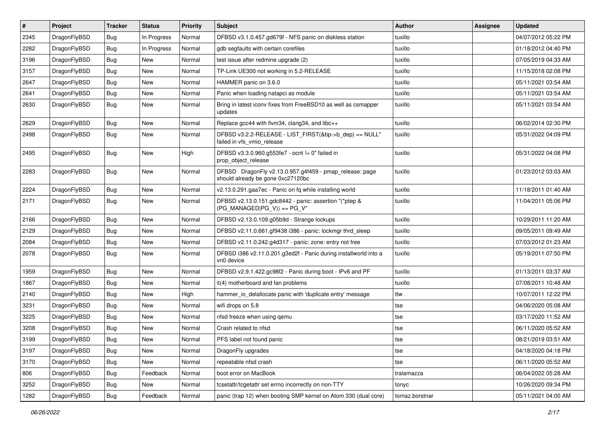| $\vert$ # | Project      | <b>Tracker</b> | <b>Status</b> | <b>Priority</b> | <b>Subject</b>                                                                               | <b>Author</b>  | <b>Assignee</b> | <b>Updated</b>      |
|-----------|--------------|----------------|---------------|-----------------|----------------------------------------------------------------------------------------------|----------------|-----------------|---------------------|
| 2345      | DragonFlyBSD | <b>Bug</b>     | In Progress   | Normal          | DFBSD v3.1.0.457.gd679f - NFS panic on diskless station                                      | tuxillo        |                 | 04/07/2012 05:22 PM |
| 2282      | DragonFlyBSD | Bug            | In Progress   | Normal          | gdb segfaults with certain corefiles                                                         | tuxillo        |                 | 01/18/2012 04:40 PM |
| 3196      | DragonFlyBSD | <b>Bug</b>     | New           | Normal          | test issue after redmine upgrade (2)                                                         | tuxillo        |                 | 07/05/2019 04:33 AM |
| 3157      | DragonFlyBSD | Bug            | New           | Normal          | TP-Link UE300 not working in 5.2-RELEASE                                                     | tuxillo        |                 | 11/15/2018 02:08 PM |
| 2647      | DragonFlyBSD | <b>Bug</b>     | <b>New</b>    | Normal          | HAMMER panic on 3.6.0                                                                        | tuxillo        |                 | 05/11/2021 03:54 AM |
| 2641      | DragonFlyBSD | <b>Bug</b>     | New           | Normal          | Panic when loading natapci as module                                                         | tuxillo        |                 | 05/11/2021 03:54 AM |
| 2630      | DragonFlyBSD | Bug            | New           | Normal          | Bring in latest iconv fixes from FreeBSD10 as well as csmapper<br>updates                    | tuxillo        |                 | 05/11/2021 03:54 AM |
| 2629      | DragonFlyBSD | Bug            | New           | Normal          | Replace gcc44 with llvm34, clang34, and libc++                                               | tuxillo        |                 | 06/02/2014 02:30 PM |
| 2498      | DragonFlyBSD | <b>Bug</b>     | New           | Normal          | DFBSD v3.2.2-RELEASE - LIST_FIRST(&bp->b_dep) == NULL"<br>failed in vfs_vmio_release         | tuxillo        |                 | 05/31/2022 04:09 PM |
| 2495      | DragonFlyBSD | Bug            | New           | High            | DFBSD v3.3.0.960.g553fe7 - ocnt != 0" failed in<br>prop_object_release                       | tuxillo        |                 | 05/31/2022 04:08 PM |
| 2283      | DragonFlyBSD | Bug            | <b>New</b>    | Normal          | DFBSD DragonFly v2.13.0.957.g4f459 - pmap_release: page<br>should already be gone 0xc27120bc | tuxillo        |                 | 01/23/2012 03:03 AM |
| 2224      | DragonFlyBSD | <b>Bug</b>     | <b>New</b>    | Normal          | v2.13.0.291.gaa7ec - Panic on fq while installing world                                      | tuxillo        |                 | 11/18/2011 01:40 AM |
| 2171      | DragonFlyBSD | Bug            | New           | Normal          | DFBSD v2.13.0.151.gdc8442 - panic: assertion "(*ptep &<br>$(PG_MANAGED PG_V)) == PG_V"$      | tuxillo        |                 | 11/04/2011 05:06 PM |
| 2166      | DragonFlyBSD | <b>Bug</b>     | New           | Normal          | DFBSD v2.13.0.109.g05b9d - Strange lockups                                                   | tuxillo        |                 | 10/29/2011 11:20 AM |
| 2129      | DragonFlyBSD | Bug            | <b>New</b>    | Normal          | DFBSD v2.11.0.661.gf9438 i386 - panic: lockmgr thrd_sleep                                    | tuxillo        |                 | 09/05/2011 09:49 AM |
| 2084      | DragonFlyBSD | <b>Bug</b>     | New           | Normal          | DFBSD v2.11.0.242.g4d317 - panic: zone: entry not free                                       | tuxillo        |                 | 07/03/2012 01:23 AM |
| 2078      | DragonFlyBSD | <b>Bug</b>     | New           | Normal          | DFBSD i386 v2.11.0.201.g3ed2f - Panic during installworld into a<br>vn0 device               | tuxillo        |                 | 05/19/2011 07:50 PM |
| 1959      | DragonFlyBSD | Bug            | New           | Normal          | DFBSD v2.9.1.422.gc98f2 - Panic during boot - IPv6 and PF                                    | tuxillo        |                 | 01/13/2011 03:37 AM |
| 1867      | DragonFlyBSD | <b>Bug</b>     | New           | Normal          | it(4) motherboard and fan problems                                                           | tuxillo        |                 | 07/08/2011 10:48 AM |
| 2140      | DragonFlyBSD | Bug            | <b>New</b>    | High            | hammer_io_delallocate panic with 'duplicate entry' message                                   | ttw            |                 | 10/07/2011 12:22 PM |
| 3231      | DragonFlyBSD | <b>Bug</b>     | New           | Normal          | wifi drops on 5.8                                                                            | tse            |                 | 04/06/2020 05:08 AM |
| 3225      | DragonFlyBSD | Bug            | New           | Normal          | nfsd freeze when using qemu                                                                  | tse            |                 | 03/17/2020 11:52 AM |
| 3208      | DragonFlyBSD | Bug            | <b>New</b>    | Normal          | Crash related to nfsd                                                                        | tse            |                 | 06/11/2020 05:52 AM |
| 3199      | DragonFlyBSD | i Bug          | New           | Normal          | PFS label not found panic                                                                    | tse            |                 | 08/21/2019 03:51 AM |
| 3197      | DragonFlyBSD | Bug            | New           | Normal          | DragonFly upgrades                                                                           | tse            |                 | 04/18/2020 04:18 PM |
| 3170      | DragonFlyBSD | <b>Bug</b>     | New           | Normal          | repeatable nfsd crash                                                                        | tse            |                 | 06/11/2020 05:52 AM |
| 806       | DragonFlyBSD | <b>Bug</b>     | Feedback      | Normal          | boot error on MacBook                                                                        | tralamazza     |                 | 06/04/2022 05:28 AM |
| 3252      | DragonFlyBSD | Bug            | New           | Normal          | tcsetattr/tcgetattr set errno incorrectly on non-TTY                                         | tonyc          |                 | 10/26/2020 09:34 PM |
| 1282      | DragonFlyBSD | Bug            | Feedback      | Normal          | panic (trap 12) when booting SMP kernel on Atom 330 (dual core)                              | tomaz.borstnar |                 | 05/11/2021 04:00 AM |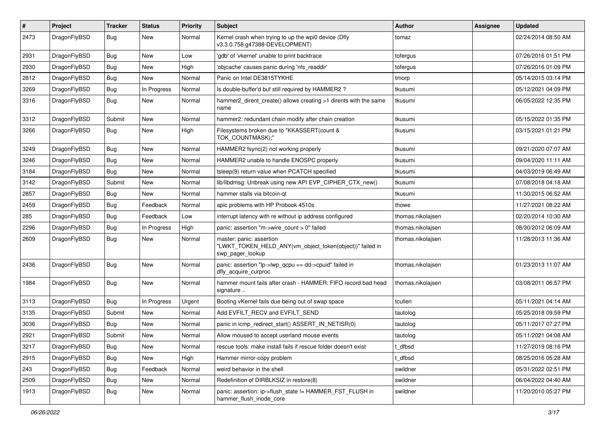| #    | Project      | <b>Tracker</b> | <b>Status</b> | <b>Priority</b> | Subject                                                                                                  | Author            | <b>Assignee</b> | <b>Updated</b>      |
|------|--------------|----------------|---------------|-----------------|----------------------------------------------------------------------------------------------------------|-------------------|-----------------|---------------------|
| 2473 | DragonFlyBSD | Bug            | New           | Normal          | Kernel crash when trying to up the wpi0 device (Dfly<br>v3.3.0.758.g47388-DEVELOPMENT)                   | tomaz             |                 | 02/24/2014 08:50 AM |
| 2931 | DragonFlyBSD | Bug            | <b>New</b>    | Low             | 'gdb' of 'vkernel' unable to print backtrace                                                             | tofergus          |                 | 07/26/2016 01:51 PM |
| 2930 | DragonFlyBSD | Bug            | New           | High            | 'objcache' causes panic during 'nfs readdir'                                                             | tofergus          |                 | 07/26/2016 01:09 PM |
| 2812 | DragonFlyBSD | Bug            | <b>New</b>    | Normal          | Panic on Intel DE3815TYKHE                                                                               | tmorp             |                 | 05/14/2015 03:14 PM |
| 3269 | DragonFlyBSD | Bug            | In Progress   | Normal          | Is double-buffer'd buf still required by HAMMER2?                                                        | tkusumi           |                 | 05/12/2021 04:09 PM |
| 3316 | DragonFlyBSD | <b>Bug</b>     | New           | Normal          | hammer2 dirent create() allows creating >1 dirents with the same<br>name                                 | tkusumi           |                 | 06/05/2022 12:35 PM |
| 3312 | DragonFlyBSD | Submit         | New           | Normal          | hammer2: redundant chain modify after chain creation                                                     | tkusumi           |                 | 05/15/2022 01:35 PM |
| 3266 | DragonFlyBSD | Bug            | New           | High            | Filesystems broken due to "KKASSERT(count &<br>TOK COUNTMASK);"                                          | tkusumi           |                 | 03/15/2021 01:21 PM |
| 3249 | DragonFlyBSD | Bug            | New           | Normal          | HAMMER2 fsync(2) not working properly                                                                    | tkusumi           |                 | 09/21/2020 07:07 AM |
| 3246 | DragonFlyBSD | Bug            | <b>New</b>    | Normal          | HAMMER2 unable to handle ENOSPC properly                                                                 | tkusumi           |                 | 09/04/2020 11:11 AM |
| 3184 | DragonFlyBSD | <b>Bug</b>     | New           | Normal          | tsleep(9) return value when PCATCH specified                                                             | tkusumi           |                 | 04/03/2019 06:49 AM |
| 3142 | DragonFlyBSD | Submit         | New           | Normal          | lib/libdmsg: Unbreak using new API EVP_CIPHER_CTX_new()                                                  | tkusumi           |                 | 07/08/2018 04:18 AM |
| 2857 | DragonFlyBSD | Bug            | New           | Normal          | hammer stalls via bitcoin-gt                                                                             | tkusumi           |                 | 11/30/2015 06:52 AM |
| 2459 | DragonFlyBSD | Bug            | Feedback      | Normal          | apic problems with HP Probook 4510s                                                                      | thowe             |                 | 11/27/2021 08:22 AM |
| 285  | DragonFlyBSD | Bug            | Feedback      | Low             | interrupt latency with re without ip address configured                                                  | thomas.nikolajsen |                 | 02/20/2014 10:30 AM |
| 2296 | DragonFlyBSD | Bug            | In Progress   | High            | panic: assertion "m->wire count > 0" failed                                                              | thomas.nikolajsen |                 | 08/30/2012 06:09 AM |
| 2609 | DragonFlyBSD | Bug            | <b>New</b>    | Normal          | master: panic: assertion<br>"LWKT_TOKEN_HELD_ANY(vm_object_token(object))" failed in<br>swp pager lookup | thomas.nikolajsen |                 | 11/28/2013 11:36 AM |
| 2436 | DragonFlyBSD | Bug            | New           | Normal          | panic: assertion "lp->lwp_qcpu == dd->cpuid" failed in<br>dfly acquire curproc                           | thomas.nikolajsen |                 | 01/23/2013 11:07 AM |
| 1984 | DragonFlyBSD | Bug            | New           | Normal          | hammer mount fails after crash - HAMMER: FIFO record bad head<br>signature                               | thomas.nikolajsen |                 | 03/08/2011 06:57 PM |
| 3113 | DragonFlyBSD | Bug            | In Progress   | Urgent          | Booting vKernel fails due being out of swap space                                                        | tcullen           |                 | 05/11/2021 04:14 AM |
| 3135 | DragonFlyBSD | Submit         | New           | Normal          | Add EVFILT_RECV and EVFILT_SEND                                                                          | tautolog          |                 | 05/25/2018 09:59 PM |
| 3036 | DragonFlyBSD | Bug            | New           | Normal          | panic in icmp_redirect_start() ASSERT_IN_NETISR(0)                                                       | tautolog          |                 | 05/11/2017 07:27 PM |
| 2921 | DragonFlyBSD | Submit         | New           | Normal          | Allow moused to accept userland mouse events                                                             | tautolog          |                 | 05/11/2021 04:08 AM |
| 3217 | DragonFlyBSD | <b>Bug</b>     | <b>New</b>    | Normal          | rescue tools: make install fails if rescue folder doesn't exist                                          | t_dfbsd           |                 | 11/27/2019 08:16 PM |
| 2915 | DragonFlyBSD | <b>Bug</b>     | <b>New</b>    | High            | Hammer mirror-copy problem                                                                               | t_dfbsd           |                 | 08/25/2016 05:28 AM |
| 243  | DragonFlyBSD | <b>Bug</b>     | Feedback      | Normal          | weird behavior in the shell                                                                              | swildner          |                 | 05/31/2022 02:51 PM |
| 2509 | DragonFlyBSD | Bug            | <b>New</b>    | Normal          | Redefinition of DIRBLKSIZ in restore(8)                                                                  | swildner          |                 | 06/04/2022 04:40 AM |
| 1913 | DragonFlyBSD | <b>Bug</b>     | New           | Normal          | panic: assertion: ip->flush_state != HAMMER_FST_FLUSH in<br>hammer_flush_inode_core                      | swildner          |                 | 11/20/2010 05:27 PM |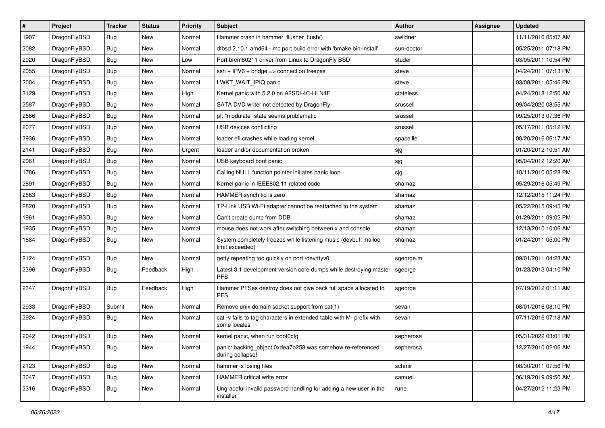| $\sharp$ | Project      | <b>Tracker</b> | <b>Status</b> | <b>Priority</b> | <b>Subject</b>                                                                       | Author     | Assignee | <b>Updated</b>      |
|----------|--------------|----------------|---------------|-----------------|--------------------------------------------------------------------------------------|------------|----------|---------------------|
| 1907     | DragonFlyBSD | Bug            | New           | Normal          | Hammer crash in hammer_flusher_flush()                                               | swildner   |          | 11/11/2010 05:07 AM |
| 2082     | DragonFlyBSD | Bug            | <b>New</b>    | Normal          | dfbsd 2.10.1 amd64 - mc port build error with 'bmake bin-install'                    | sun-doctor |          | 05/25/2011 07:18 PM |
| 2020     | DragonFlyBSD | Bug            | <b>New</b>    | Low             | Port brcm80211 driver from Linux to DragonFly BSD                                    | studer     |          | 03/05/2011 10:54 PM |
| 2055     | DragonFlyBSD | Bug            | New           | Normal          | $ssh + IPV6 + bridge \Rightarrow$ connection freezes                                 | steve      |          | 04/24/2011 07:13 PM |
| 2004     | DragonFlyBSD | Bug            | <b>New</b>    | Normal          | LWKT_WAIT_IPIQ panic                                                                 | steve      |          | 03/08/2011 05:46 PM |
| 3129     | DragonFlyBSD | Bug            | <b>New</b>    | High            | Kernel panic with 5.2.0 on A2SDi-4C-HLN4F                                            | stateless  |          | 04/24/2018 12:50 AM |
| 2587     | DragonFlyBSD | Bug            | New           | Normal          | SATA DVD writer not detected by DragonFly                                            | srussell   |          | 09/04/2020 08:55 AM |
| 2586     | DragonFlyBSD | Bug            | New           | Normal          | pf: "modulate" state seems problematic                                               | srussell   |          | 09/25/2013 07:36 PM |
| 2077     | DragonFlyBSD | Bug            | <b>New</b>    | Normal          | USB devices conflicting                                                              | srussell   |          | 05/17/2011 05:12 PM |
| 2936     | DragonFlyBSD | Bug            | <b>New</b>    | Normal          | loader.efi crashes while loading kernel                                              | spaceille  |          | 08/20/2016 06:17 AM |
| 2141     | DragonFlyBSD | Bug            | New           | Urgent          | loader and/or documentation broken                                                   | sjg        |          | 01/20/2012 10:51 AM |
| 2061     | DragonFlyBSD | Bug            | <b>New</b>    | Normal          | USB keyboard boot panic                                                              | sjg        |          | 05/04/2012 12:20 AM |
| 1786     | DragonFlyBSD | Bug            | New           | Normal          | Calling NULL function pointer initiates panic loop                                   | sjg        |          | 10/11/2010 05:28 PM |
| 2891     | DragonFlyBSD | Bug            | New           | Normal          | Kernel panic in IEEE802.11 related code                                              | shamaz     |          | 05/29/2016 05:49 PM |
| 2863     | DragonFlyBSD | <b>Bug</b>     | <b>New</b>    | Normal          | HAMMER synch tid is zero                                                             | shamaz     |          | 12/12/2015 11:24 PM |
| 2820     | DragonFlyBSD | Bug            | New           | Normal          | TP-Link USB Wi-Fi adapter cannot be reattached to the system                         | shamaz     |          | 05/22/2015 09:45 PM |
| 1961     | DragonFlyBSD | Bug            | New           | Normal          | Can't create dump from DDB                                                           | shamaz     |          | 01/29/2011 09:02 PM |
| 1935     | DragonFlyBSD | Bug            | <b>New</b>    | Normal          | mouse does not work after switching between x and console                            | shamaz     |          | 12/13/2010 10:06 AM |
| 1884     | DragonFlyBSD | Bug            | <b>New</b>    | Normal          | System completely freezes while listening music (devbuf: malloc<br>limit exceeded)   | shamaz     |          | 01/24/2011 05:00 PM |
| 2124     | DragonFlyBSD | Bug            | <b>New</b>    | Normal          | getty repeating too quickly on port /dev/ttyv0                                       | sgeorge.ml |          | 09/01/2011 04:28 AM |
| 2396     | DragonFlyBSD | Bug            | Feedback      | High            | Latest 3.1 development version core dumps while destroying master<br><b>PFS</b>      | sgeorge    |          | 01/23/2013 04:10 PM |
| 2347     | DragonFlyBSD | Bug            | Feedback      | High            | Hammer PFSes destroy does not give back full space allocated to<br><b>PFS</b>        | sgeorge    |          | 07/19/2012 01:11 AM |
| 2933     | DragonFlyBSD | Submit         | New           | Normal          | Remove unix domain socket support from cat(1)                                        | sevan      |          | 08/01/2016 08:10 PM |
| 2924     | DragonFlyBSD | Bug            | New           | Normal          | cat -v fails to tag characters in extended table with M- prefix with<br>some locales | sevan      |          | 07/11/2016 07:18 AM |
| 2042     | DragonFlyBSD | Bug            | <b>New</b>    | Normal          | kernel panic, when run boot0cfg                                                      | sepherosa  |          | 05/31/2022 03:01 PM |
| 1944     | DragonFlyBSD | <b>Bug</b>     | New           | Normal          | panic: backing_object 0xdea7b258 was somehow re-referenced<br>during collapse!       | sepherosa  |          | 12/27/2010 02:06 AM |
| 2123     | DragonFlyBSD | <b>Bug</b>     | New           | Normal          | hammer is losing files                                                               | schmir     |          | 08/30/2011 07:56 PM |
| 3047     | DragonFlyBSD | <b>Bug</b>     | New           | Normal          | HAMMER critical write error                                                          | samuel     |          | 06/19/2019 09:50 AM |
| 2316     | DragonFlyBSD | <b>Bug</b>     | New           | Normal          | Ungraceful invalid password handling for adding a new user in the<br>installer       | rune       |          | 04/27/2012 11:23 PM |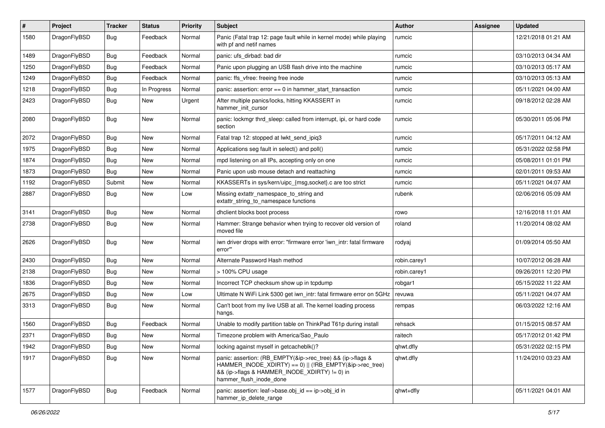| $\vert$ # | Project      | <b>Tracker</b> | <b>Status</b> | <b>Priority</b> | <b>Subject</b>                                                                                                                                                                                    | Author       | <b>Assignee</b> | <b>Updated</b>      |
|-----------|--------------|----------------|---------------|-----------------|---------------------------------------------------------------------------------------------------------------------------------------------------------------------------------------------------|--------------|-----------------|---------------------|
| 1580      | DragonFlyBSD | Bug            | Feedback      | Normal          | Panic (Fatal trap 12: page fault while in kernel mode) while playing<br>with pf and netif names                                                                                                   | rumcic       |                 | 12/21/2018 01:21 AM |
| 1489      | DragonFlyBSD | <b>Bug</b>     | Feedback      | Normal          | panic: ufs_dirbad: bad dir                                                                                                                                                                        | rumcic       |                 | 03/10/2013 04:34 AM |
| 1250      | DragonFlyBSD | Bug            | Feedback      | Normal          | Panic upon plugging an USB flash drive into the machine                                                                                                                                           | rumcic       |                 | 03/10/2013 05:17 AM |
| 1249      | DragonFlyBSD | <b>Bug</b>     | Feedback      | Normal          | panic: ffs_vfree: freeing free inode                                                                                                                                                              | rumcic       |                 | 03/10/2013 05:13 AM |
| 1218      | DragonFlyBSD | <b>Bug</b>     | In Progress   | Normal          | panic: assertion: $error == 0$ in hammer start transaction                                                                                                                                        | rumcic       |                 | 05/11/2021 04:00 AM |
| 2423      | DragonFlyBSD | <b>Bug</b>     | New           | Urgent          | After multiple panics/locks, hitting KKASSERT in<br>hammer_init_cursor                                                                                                                            | rumcic       |                 | 09/18/2012 02:28 AM |
| 2080      | DragonFlyBSD | Bug            | <b>New</b>    | Normal          | panic: lockmgr thrd_sleep: called from interrupt, ipi, or hard code<br>section                                                                                                                    | rumcic       |                 | 05/30/2011 05:06 PM |
| 2072      | DragonFlyBSD | <b>Bug</b>     | <b>New</b>    | Normal          | Fatal trap 12: stopped at lwkt_send_ipiq3                                                                                                                                                         | rumcic       |                 | 05/17/2011 04:12 AM |
| 1975      | DragonFlyBSD | Bug            | <b>New</b>    | Normal          | Applications seg fault in select() and poll()                                                                                                                                                     | rumcic       |                 | 05/31/2022 02:58 PM |
| 1874      | DragonFlyBSD | Bug            | <b>New</b>    | Normal          | mpd listening on all IPs, accepting only on one                                                                                                                                                   | rumcic       |                 | 05/08/2011 01:01 PM |
| 1873      | DragonFlyBSD | <b>Bug</b>     | New           | Normal          | Panic upon usb mouse detach and reattaching                                                                                                                                                       | rumcic       |                 | 02/01/2011 09:53 AM |
| 1192      | DragonFlyBSD | Submit         | <b>New</b>    | Normal          | KKASSERTs in sys/kern/uipc_{msg,socket}.c are too strict                                                                                                                                          | rumcic       |                 | 05/11/2021 04:07 AM |
| 2887      | DragonFlyBSD | Bug            | New           | Low             | Missing extattr_namespace_to_string and<br>extattr_string_to_namespace functions                                                                                                                  | rubenk       |                 | 02/06/2016 05:09 AM |
| 3141      | DragonFlyBSD | Bug            | New           | Normal          | dhclient blocks boot process                                                                                                                                                                      | rowo         |                 | 12/16/2018 11:01 AM |
| 2738      | DragonFlyBSD | <b>Bug</b>     | New           | Normal          | Hammer: Strange behavior when trying to recover old version of<br>moved file                                                                                                                      | roland       |                 | 11/20/2014 08:02 AM |
| 2626      | DragonFlyBSD | <b>Bug</b>     | New           | Normal          | iwn driver drops with error: "firmware error 'iwn_intr: fatal firmware<br>error""                                                                                                                 | rodyaj       |                 | 01/09/2014 05:50 AM |
| 2430      | DragonFlyBSD | <b>Bug</b>     | <b>New</b>    | Normal          | Alternate Password Hash method                                                                                                                                                                    | robin.carey1 |                 | 10/07/2012 06:28 AM |
| 2138      | DragonFlyBSD | Bug            | <b>New</b>    | Normal          | > 100% CPU usage                                                                                                                                                                                  | robin.carey1 |                 | 09/26/2011 12:20 PM |
| 1836      | DragonFlyBSD | Bug            | <b>New</b>    | Normal          | Incorrect TCP checksum show up in tcpdump                                                                                                                                                         | robgar1      |                 | 05/15/2022 11:22 AM |
| 2675      | DragonFlyBSD | <b>Bug</b>     | <b>New</b>    | Low             | Ultimate N WiFi Link 5300 get iwn_intr: fatal firmware error on 5GHz                                                                                                                              | revuwa       |                 | 05/11/2021 04:07 AM |
| 3313      | DragonFlyBSD | Bug            | New           | Normal          | Can't boot from my live USB at all. The kernel loading process<br>hangs.                                                                                                                          | rempas       |                 | 06/03/2022 12:16 AM |
| 1560      | DragonFlyBSD | <b>Bug</b>     | Feedback      | Normal          | Unable to modify partition table on ThinkPad T61p during install                                                                                                                                  | rehsack      |                 | 01/15/2015 08:57 AM |
| 2371      | DragonFlyBSD | <b>Bug</b>     | New           | Normal          | Timezone problem with America/Sao_Paulo                                                                                                                                                           | raitech      |                 | 05/17/2012 01:42 PM |
| 1942      | DragonFlyBSD | <b>Bug</b>     | New           | Normal          | locking against myself in getcacheblk()?                                                                                                                                                          | qhwt.dfly    |                 | 05/31/2022 02:15 PM |
| 1917      | DragonFlyBSD | Bug            | New           | Normal          | panic: assertion: (RB_EMPTY(&ip->rec_tree) && (ip->flags &<br>HAMMER_INODE_XDIRTY) == 0)    (!RB_EMPTY(&ip->rec_tree)<br>&& (ip->flags & HAMMER INODE XDIRTY) != 0) in<br>hammer_flush_inode_done | qhwt.dfly    |                 | 11/24/2010 03:23 AM |
| 1577      | DragonFlyBSD | <b>Bug</b>     | Feedback      | Normal          | panic: assertion: leaf->base.obj_id == ip->obj_id in<br>hammer_ip_delete_range                                                                                                                    | qhwt+dfly    |                 | 05/11/2021 04:01 AM |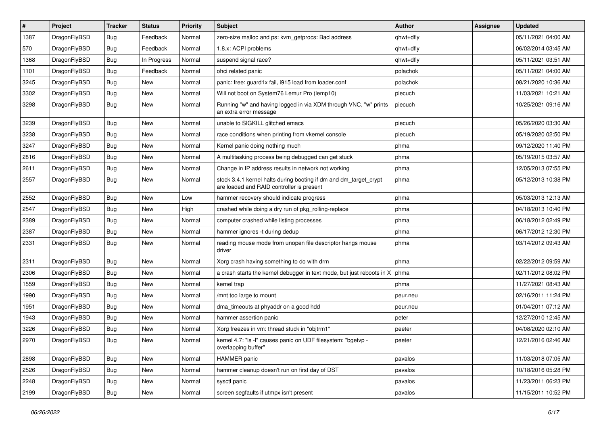| $\vert$ # | Project      | <b>Tracker</b> | <b>Status</b> | <b>Priority</b> | <b>Subject</b>                                                                                                 | <b>Author</b> | <b>Assignee</b> | <b>Updated</b>      |
|-----------|--------------|----------------|---------------|-----------------|----------------------------------------------------------------------------------------------------------------|---------------|-----------------|---------------------|
| 1387      | DragonFlyBSD | <b>Bug</b>     | Feedback      | Normal          | zero-size malloc and ps: kvm_getprocs: Bad address                                                             | qhwt+dfly     |                 | 05/11/2021 04:00 AM |
| 570       | DragonFlyBSD | <b>Bug</b>     | Feedback      | Normal          | 1.8.x: ACPI problems                                                                                           | qhwt+dfly     |                 | 06/02/2014 03:45 AM |
| 1368      | DragonFlyBSD | <b>Bug</b>     | In Progress   | Normal          | suspend signal race?                                                                                           | qhwt+dfly     |                 | 05/11/2021 03:51 AM |
| 1101      | DragonFlyBSD | <b>Bug</b>     | Feedback      | Normal          | ohci related panic                                                                                             | polachok      |                 | 05/11/2021 04:00 AM |
| 3245      | DragonFlyBSD | <b>Bug</b>     | <b>New</b>    | Normal          | panic: free: guard1x fail, i915 load from loader.conf                                                          | polachok      |                 | 08/21/2020 10:36 AM |
| 3302      | DragonFlyBSD | <b>Bug</b>     | New           | Normal          | Will not boot on System76 Lemur Pro (lemp10)                                                                   | piecuch       |                 | 11/03/2021 10:21 AM |
| 3298      | DragonFlyBSD | Bug            | <b>New</b>    | Normal          | Running "w" and having logged in via XDM through VNC, "w" prints<br>an extra error message                     | piecuch       |                 | 10/25/2021 09:16 AM |
| 3239      | DragonFlyBSD | <b>Bug</b>     | <b>New</b>    | Normal          | unable to SIGKILL glitched emacs                                                                               | piecuch       |                 | 05/26/2020 03:30 AM |
| 3238      | DragonFlyBSD | Bug            | <b>New</b>    | Normal          | race conditions when printing from vkernel console                                                             | piecuch       |                 | 05/19/2020 02:50 PM |
| 3247      | DragonFlyBSD | Bug            | <b>New</b>    | Normal          | Kernel panic doing nothing much                                                                                | phma          |                 | 09/12/2020 11:40 PM |
| 2816      | DragonFlyBSD | Bug            | <b>New</b>    | Normal          | A multitasking process being debugged can get stuck                                                            | phma          |                 | 05/19/2015 03:57 AM |
| 2611      | DragonFlyBSD | Bug            | <b>New</b>    | Normal          | Change in IP address results in network not working                                                            | phma          |                 | 12/05/2013 07:55 PM |
| 2557      | DragonFlyBSD | Bug            | New           | Normal          | stock 3.4.1 kernel halts during booting if dm and dm_target_crypt<br>are loaded and RAID controller is present | phma          |                 | 05/12/2013 10:38 PM |
| 2552      | DragonFlyBSD | <b>Bug</b>     | <b>New</b>    | Low             | hammer recovery should indicate progress                                                                       | phma          |                 | 05/03/2013 12:13 AM |
| 2547      | DragonFlyBSD | Bug            | <b>New</b>    | High            | crashed while doing a dry run of pkg rolling-replace                                                           | phma          |                 | 04/18/2013 10:40 PM |
| 2389      | DragonFlyBSD | Bug            | <b>New</b>    | Normal          | computer crashed while listing processes                                                                       | phma          |                 | 06/18/2012 02:49 PM |
| 2387      | DragonFlyBSD | Bug            | New           | Normal          | hammer ignores -t during dedup                                                                                 | phma          |                 | 06/17/2012 12:30 PM |
| 2331      | DragonFlyBSD | Bug            | <b>New</b>    | Normal          | reading mouse mode from unopen file descriptor hangs mouse<br>driver                                           | phma          |                 | 03/14/2012 09:43 AM |
| 2311      | DragonFlyBSD | <b>Bug</b>     | <b>New</b>    | Normal          | Xorg crash having something to do with drm                                                                     | phma          |                 | 02/22/2012 09:59 AM |
| 2306      | DragonFlyBSD | <b>Bug</b>     | <b>New</b>    | Normal          | a crash starts the kernel debugger in text mode, but just reboots in X                                         | phma          |                 | 02/11/2012 08:02 PM |
| 1559      | DragonFlyBSD | <b>Bug</b>     | <b>New</b>    | Normal          | kernel trap                                                                                                    | phma          |                 | 11/27/2021 08:43 AM |
| 1990      | DragonFlyBSD | Bug            | <b>New</b>    | Normal          | /mnt too large to mount                                                                                        | peur.neu      |                 | 02/16/2011 11:24 PM |
| 1951      | DragonFlyBSD | Bug            | <b>New</b>    | Normal          | dma_timeouts at phyaddr on a good hdd                                                                          | peur.neu      |                 | 01/04/2011 07:12 AM |
| 1943      | DragonFlyBSD | <b>Bug</b>     | <b>New</b>    | Normal          | hammer assertion panic                                                                                         | peter         |                 | 12/27/2010 12:45 AM |
| 3226      | DragonFlyBSD | Bug            | <b>New</b>    | Normal          | Xorg freezes in vm: thread stuck in "objtrm1"                                                                  | peeter        |                 | 04/08/2020 02:10 AM |
| 2970      | DragonFlyBSD | <b>Bug</b>     | New           | Normal          | kernel 4.7: "Is -I" causes panic on UDF filesystem: "bgetvp -<br>overlapping buffer"                           | peeter        |                 | 12/21/2016 02:46 AM |
| 2898      | DragonFlyBSD | <b>Bug</b>     | New           | Normal          | HAMMER panic                                                                                                   | pavalos       |                 | 11/03/2018 07:05 AM |
| 2526      | DragonFlyBSD | Bug            | New           | Normal          | hammer cleanup doesn't run on first day of DST                                                                 | pavalos       |                 | 10/18/2016 05:28 PM |
| 2248      | DragonFlyBSD | <b>Bug</b>     | New           | Normal          | sysctl panic                                                                                                   | pavalos       |                 | 11/23/2011 06:23 PM |
| 2199      | DragonFlyBSD | <b>Bug</b>     | New           | Normal          | screen segfaults if utmpx isn't present                                                                        | pavalos       |                 | 11/15/2011 10:52 PM |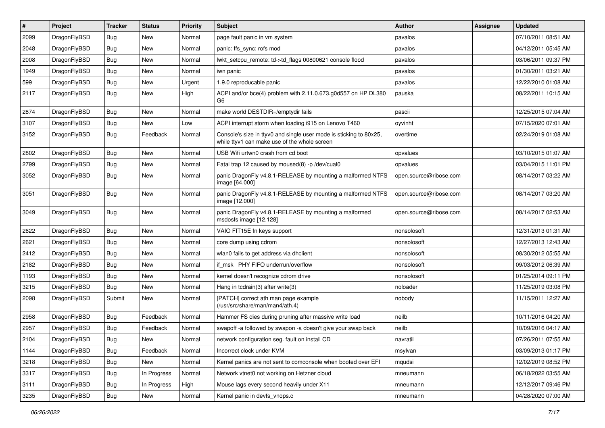| $\vert$ # | Project      | <b>Tracker</b> | <b>Status</b> | <b>Priority</b> | Subject                                                                                                            | Author                 | Assignee | <b>Updated</b>      |
|-----------|--------------|----------------|---------------|-----------------|--------------------------------------------------------------------------------------------------------------------|------------------------|----------|---------------------|
| 2099      | DragonFlyBSD | <b>Bug</b>     | New           | Normal          | page fault panic in vm system                                                                                      | pavalos                |          | 07/10/2011 08:51 AM |
| 2048      | DragonFlyBSD | <b>Bug</b>     | <b>New</b>    | Normal          | panic: ffs_sync: rofs mod                                                                                          | pavalos                |          | 04/12/2011 05:45 AM |
| 2008      | DragonFlyBSD | Bug            | <b>New</b>    | Normal          | lwkt setcpu remote: td->td flags 00800621 console flood                                                            | pavalos                |          | 03/06/2011 09:37 PM |
| 1949      | DragonFlyBSD | Bug            | New           | Normal          | iwn panic                                                                                                          | pavalos                |          | 01/30/2011 03:21 AM |
| 599       | DragonFlyBSD | <b>Bug</b>     | <b>New</b>    | Urgent          | 1.9.0 reproducable panic                                                                                           | pavalos                |          | 12/22/2010 01:08 AM |
| 2117      | DragonFlyBSD | <b>Bug</b>     | New           | High            | ACPI and/or bce(4) problem with 2.11.0.673.g0d557 on HP DL380<br>G6                                                | pauska                 |          | 08/22/2011 10:15 AM |
| 2874      | DragonFlyBSD | Bug            | <b>New</b>    | Normal          | make world DESTDIR=/emptydir fails                                                                                 | pascii                 |          | 12/25/2015 07:04 AM |
| 3107      | DragonFlyBSD | Bug            | New           | Low             | ACPI interrupt storm when loading i915 on Lenovo T460                                                              | oyvinht                |          | 07/15/2020 07:01 AM |
| 3152      | DragonFlyBSD | Bug            | Feedback      | Normal          | Console's size in ttyv0 and single user mode is sticking to 80x25,<br>while ttyv1 can make use of the whole screen | overtime               |          | 02/24/2019 01:08 AM |
| 2802      | DragonFlyBSD | Bug            | <b>New</b>    | Normal          | USB Wifi urtwn0 crash from cd boot                                                                                 | opvalues               |          | 03/10/2015 01:07 AM |
| 2799      | DragonFlyBSD | <b>Bug</b>     | <b>New</b>    | Normal          | Fatal trap 12 caused by moused(8) -p /dev/cual0                                                                    | opvalues               |          | 03/04/2015 11:01 PM |
| 3052      | DragonFlyBSD | <b>Bug</b>     | New           | Normal          | panic DragonFly v4.8.1-RELEASE by mounting a malformed NTFS<br>image [64.000]                                      | open.source@ribose.com |          | 08/14/2017 03:22 AM |
| 3051      | DragonFlyBSD | Bug            | New           | Normal          | panic DragonFly v4.8.1-RELEASE by mounting a malformed NTFS<br>image [12.000]                                      | open.source@ribose.com |          | 08/14/2017 03:20 AM |
| 3049      | DragonFlyBSD | Bug            | New           | Normal          | panic DragonFly v4.8.1-RELEASE by mounting a malformed<br>msdosfs image [12.128]                                   | open.source@ribose.com |          | 08/14/2017 02:53 AM |
| 2622      | DragonFlyBSD | Bug            | <b>New</b>    | Normal          | VAIO FIT15E fn keys support                                                                                        | nonsolosoft            |          | 12/31/2013 01:31 AM |
| 2621      | DragonFlyBSD | Bug            | <b>New</b>    | Normal          | core dump using cdrom                                                                                              | nonsolosoft            |          | 12/27/2013 12:43 AM |
| 2412      | DragonFlyBSD | <b>Bug</b>     | New           | Normal          | wlan0 fails to get address via dhclient                                                                            | nonsolosoft            |          | 08/30/2012 05:55 AM |
| 2182      | DragonFlyBSD | Bug            | <b>New</b>    | Normal          | if msk PHY FIFO underrun/overflow                                                                                  | nonsolosoft            |          | 09/03/2012 06:39 AM |
| 1193      | DragonFlyBSD | <b>Bug</b>     | New           | Normal          | kernel doesn't recognize cdrom drive                                                                               | nonsolosoft            |          | 01/25/2014 09:11 PM |
| 3215      | DragonFlyBSD | Bug            | New           | Normal          | Hang in tcdrain(3) after write(3)                                                                                  | noloader               |          | 11/25/2019 03:08 PM |
| 2098      | DragonFlyBSD | Submit         | New           | Normal          | [PATCH] correct ath man page example<br>(/usr/src/share/man/man4/ath.4)                                            | nobody                 |          | 11/15/2011 12:27 AM |
| 2958      | DragonFlyBSD | Bug            | Feedback      | Normal          | Hammer FS dies during pruning after massive write load                                                             | neilb                  |          | 10/11/2016 04:20 AM |
| 2957      | DragonFlyBSD | <b>Bug</b>     | Feedback      | Normal          | swapoff -a followed by swapon -a doesn't give your swap back                                                       | neilb                  |          | 10/09/2016 04:17 AM |
| 2104      | DragonFlyBSD | Bug            | New           | Normal          | network configuration seg. fault on install CD                                                                     | navratil               |          | 07/26/2011 07:55 AM |
| 1144      | DragonFlyBSD | Bug            | Feedback      | Normal          | Incorrect clock under KVM                                                                                          | msylvan                |          | 03/09/2013 01:17 PM |
| 3218      | DragonFlyBSD | <b>Bug</b>     | New           | Normal          | Kernel panics are not sent to comconsole when booted over EFI                                                      | mqudsi                 |          | 12/02/2019 08:52 PM |
| 3317      | DragonFlyBSD | <b>Bug</b>     | In Progress   | Normal          | Network vtnet0 not working on Hetzner cloud                                                                        | mneumann               |          | 06/18/2022 03:55 AM |
| 3111      | DragonFlyBSD | Bug            | In Progress   | High            | Mouse lags every second heavily under X11                                                                          | mneumann               |          | 12/12/2017 09:46 PM |
| 3235      | DragonFlyBSD | Bug            | New           | Normal          | Kernel panic in devfs_vnops.c                                                                                      | mneumann               |          | 04/28/2020 07:00 AM |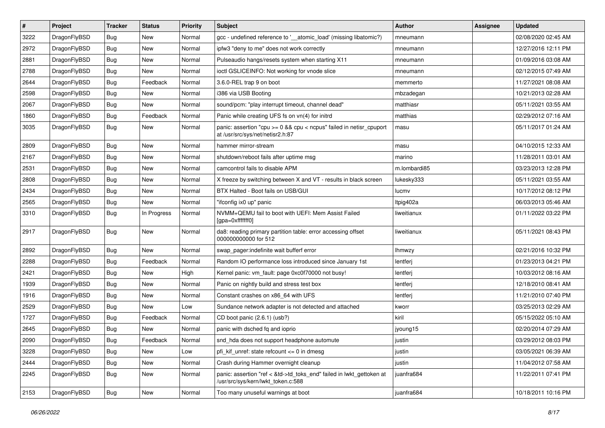| $\sharp$ | Project      | <b>Tracker</b> | <b>Status</b> | <b>Priority</b> | <b>Subject</b>                                                                                             | Author       | Assignee | <b>Updated</b>      |
|----------|--------------|----------------|---------------|-----------------|------------------------------------------------------------------------------------------------------------|--------------|----------|---------------------|
| 3222     | DragonFlyBSD | <b>Bug</b>     | New           | Normal          | gcc - undefined reference to '__atomic_load' (missing libatomic?)                                          | mneumann     |          | 02/08/2020 02:45 AM |
| 2972     | DragonFlyBSD | Bug            | <b>New</b>    | Normal          | ipfw3 "deny to me" does not work correctly                                                                 | mneumann     |          | 12/27/2016 12:11 PM |
| 2881     | DragonFlyBSD | <b>Bug</b>     | New           | Normal          | Pulseaudio hangs/resets system when starting X11                                                           | mneumann     |          | 01/09/2016 03:08 AM |
| 2788     | DragonFlyBSD | <b>Bug</b>     | New           | Normal          | ioctl GSLICEINFO: Not working for vnode slice                                                              | mneumann     |          | 02/12/2015 07:49 AM |
| 2644     | DragonFlyBSD | Bug            | Feedback      | Normal          | 3.6.0-REL trap 9 on boot                                                                                   | memmerto     |          | 11/27/2021 08:08 AM |
| 2598     | DragonFlyBSD | <b>Bug</b>     | <b>New</b>    | Normal          | i386 via USB Booting                                                                                       | mbzadegan    |          | 10/21/2013 02:28 AM |
| 2067     | DragonFlyBSD | <b>Bug</b>     | <b>New</b>    | Normal          | sound/pcm: "play interrupt timeout, channel dead"                                                          | matthiasr    |          | 05/11/2021 03:55 AM |
| 1860     | DragonFlyBSD | <b>Bug</b>     | Feedback      | Normal          | Panic while creating UFS fs on vn(4) for initrd                                                            | matthias     |          | 02/29/2012 07:16 AM |
| 3035     | DragonFlyBSD | <b>Bug</b>     | New           | Normal          | panic: assertion "cpu >= 0 && cpu < ncpus" failed in netisr_cpuport<br>at /usr/src/sys/net/netisr2.h:87    | masu         |          | 05/11/2017 01:24 AM |
| 2809     | DragonFlyBSD | Bug            | <b>New</b>    | Normal          | hammer mirror-stream                                                                                       | masu         |          | 04/10/2015 12:33 AM |
| 2167     | DragonFlyBSD | <b>Bug</b>     | New           | Normal          | shutdown/reboot fails after uptime msg                                                                     | marino       |          | 11/28/2011 03:01 AM |
| 2531     | DragonFlyBSD | <b>Bug</b>     | New           | Normal          | camcontrol fails to disable APM                                                                            | m.lombardi85 |          | 03/23/2013 12:28 PM |
| 2808     | DragonFlyBSD | <b>Bug</b>     | <b>New</b>    | Normal          | X freeze by switching between X and VT - results in black screen                                           | lukesky333   |          | 05/11/2021 03:55 AM |
| 2434     | DragonFlyBSD | <b>Bug</b>     | New           | Normal          | BTX Halted - Boot fails on USB/GUI                                                                         | lucmv        |          | 10/17/2012 08:12 PM |
| 2565     | DragonFlyBSD | <b>Bug</b>     | <b>New</b>    | Normal          | "ifconfig ix0 up" panic                                                                                    | Itpig402a    |          | 06/03/2013 05:46 AM |
| 3310     | DragonFlyBSD | <b>Bug</b>     | In Progress   | Normal          | NVMM+QEMU fail to boot with UEFI: Mem Assist Failed<br>[qpa=0xfffffff0]                                    | liweitianux  |          | 01/11/2022 03:22 PM |
| 2917     | DragonFlyBSD | Bug            | New           | Normal          | da8: reading primary partition table: error accessing offset<br>000000000000 for 512                       | liweitianux  |          | 05/11/2021 08:43 PM |
| 2892     | DragonFlyBSD | Bug            | <b>New</b>    | Normal          | swap pager:indefinite wait bufferf error                                                                   | lhmwzy       |          | 02/21/2016 10:32 PM |
| 2288     | DragonFlyBSD | <b>Bug</b>     | Feedback      | Normal          | Random IO performance loss introduced since January 1st                                                    | lentferj     |          | 01/23/2013 04:21 PM |
| 2421     | DragonFlyBSD | Bug            | <b>New</b>    | High            | Kernel panic: vm fault: page 0xc0f70000 not busy!                                                          | lentferj     |          | 10/03/2012 08:16 AM |
| 1939     | DragonFlyBSD | <b>Bug</b>     | New           | Normal          | Panic on nightly build and stress test box                                                                 | lentferj     |          | 12/18/2010 08:41 AM |
| 1916     | DragonFlyBSD | <b>Bug</b>     | New           | Normal          | Constant crashes on x86 64 with UFS                                                                        | lentferj     |          | 11/21/2010 07:40 PM |
| 2529     | DragonFlyBSD | Bug            | <b>New</b>    | Low             | Sundance network adapter is not detected and attached                                                      | kworr        |          | 03/25/2013 02:29 AM |
| 1727     | DragonFlyBSD | <b>Bug</b>     | Feedback      | Normal          | CD boot panic (2.6.1) (usb?)                                                                               | kiril        |          | 05/15/2022 05:10 AM |
| 2645     | DragonFlyBSD | <b>Bug</b>     | New           | Normal          | panic with dsched fq and ioprio                                                                            | jyoung15     |          | 02/20/2014 07:29 AM |
| 2090     | DragonFlyBSD | Bug            | Feedback      | Normal          | snd_hda does not support headphone automute                                                                | justin       |          | 03/29/2012 08:03 PM |
| 3228     | DragonFlyBSD | Bug            | <b>New</b>    | Low             | pfi_kif_unref: state refcount <= 0 in dmesg                                                                | justin       |          | 03/05/2021 06:39 AM |
| 2444     | DragonFlyBSD | Bug            | <b>New</b>    | Normal          | Crash during Hammer overnight cleanup                                                                      | justin       |          | 11/04/2012 07:58 AM |
| 2245     | DragonFlyBSD | <b>Bug</b>     | New           | Normal          | panic: assertion "ref < &td->td_toks_end" failed in lwkt_gettoken at<br>/usr/src/sys/kern/lwkt_token.c:588 | juanfra684   |          | 11/22/2011 07:41 PM |
| 2153     | DragonFlyBSD | <b>Bug</b>     | New           | Normal          | Too many unuseful warnings at boot                                                                         | juanfra684   |          | 10/18/2011 10:16 PM |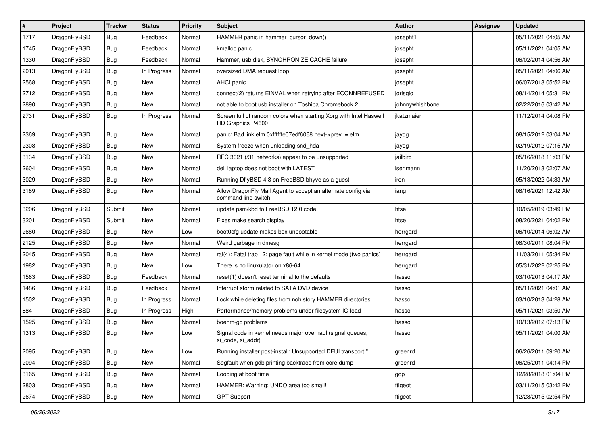| $\sharp$ | Project      | <b>Tracker</b> | <b>Status</b> | <b>Priority</b> | <b>Subject</b>                                                                          | Author          | Assignee | <b>Updated</b>      |
|----------|--------------|----------------|---------------|-----------------|-----------------------------------------------------------------------------------------|-----------------|----------|---------------------|
| 1717     | DragonFlyBSD | Bug            | Feedback      | Normal          | HAMMER panic in hammer_cursor_down()                                                    | josepht1        |          | 05/11/2021 04:05 AM |
| 1745     | DragonFlyBSD | Bug            | Feedback      | Normal          | kmalloc panic                                                                           | josepht         |          | 05/11/2021 04:05 AM |
| 1330     | DragonFlyBSD | <b>Bug</b>     | Feedback      | Normal          | Hammer, usb disk, SYNCHRONIZE CACHE failure                                             | josepht         |          | 06/02/2014 04:56 AM |
| 2013     | DragonFlyBSD | Bug            | In Progress   | Normal          | oversized DMA request loop                                                              | josepht         |          | 05/11/2021 04:06 AM |
| 2568     | DragonFlyBSD | Bug            | <b>New</b>    | Normal          | AHCI panic                                                                              | josepht         |          | 06/07/2013 05:52 PM |
| 2712     | DragonFlyBSD | Bug            | <b>New</b>    | Normal          | connect(2) returns EINVAL when retrying after ECONNREFUSED                              | jorisgio        |          | 08/14/2014 05:31 PM |
| 2890     | DragonFlyBSD | Bug            | <b>New</b>    | Normal          | not able to boot usb installer on Toshiba Chromebook 2                                  | johnnywhishbone |          | 02/22/2016 03:42 AM |
| 2731     | DragonFlyBSD | Bug            | In Progress   | Normal          | Screen full of random colors when starting Xorg with Intel Haswell<br>HD Graphics P4600 | jkatzmaier      |          | 11/12/2014 04:08 PM |
| 2369     | DragonFlyBSD | Bug            | <b>New</b>    | Normal          | panic: Bad link elm 0xffffffe07edf6068 next->prev != elm                                | jaydg           |          | 08/15/2012 03:04 AM |
| 2308     | DragonFlyBSD | Bug            | New           | Normal          | System freeze when unloading snd_hda                                                    | jaydg           |          | 02/19/2012 07:15 AM |
| 3134     | DragonFlyBSD | Bug            | New           | Normal          | RFC 3021 (/31 networks) appear to be unsupported                                        | jailbird        |          | 05/16/2018 11:03 PM |
| 2604     | DragonFlyBSD | Bug            | New           | Normal          | dell laptop does not boot with LATEST                                                   | isenmann        |          | 11/20/2013 02:07 AM |
| 3029     | DragonFlyBSD | Bug            | <b>New</b>    | Normal          | Running DflyBSD 4.8 on FreeBSD bhyve as a guest                                         | iron            |          | 05/13/2022 04:33 AM |
| 3189     | DragonFlyBSD | Bug            | New           | Normal          | Allow DragonFly Mail Agent to accept an alternate config via<br>command line switch     | iang            |          | 08/16/2021 12:42 AM |
| 3206     | DragonFlyBSD | Submit         | New           | Normal          | update psm/kbd to FreeBSD 12.0 code                                                     | htse            |          | 10/05/2019 03:49 PM |
| 3201     | DragonFlyBSD | Submit         | New           | Normal          | Fixes make search display                                                               | htse            |          | 08/20/2021 04:02 PM |
| 2680     | DragonFlyBSD | Bug            | New           | Low             | boot0cfg update makes box unbootable                                                    | herrgard        |          | 06/10/2014 06:02 AM |
| 2125     | DragonFlyBSD | Bug            | New           | Normal          | Weird garbage in dmesg                                                                  | herrgard        |          | 08/30/2011 08:04 PM |
| 2045     | DragonFlyBSD | Bug            | New           | Normal          | ral(4): Fatal trap 12: page fault while in kernel mode (two panics)                     | herrgard        |          | 11/03/2011 05:34 PM |
| 1982     | DragonFlyBSD | Bug            | New           | Low             | There is no linuxulator on x86-64                                                       | herrgard        |          | 05/31/2022 02:25 PM |
| 1563     | DragonFlyBSD | Bug            | Feedback      | Normal          | reset(1) doesn't reset terminal to the defaults                                         | hasso           |          | 03/10/2013 04:17 AM |
| 1486     | DragonFlyBSD | Bug            | Feedback      | Normal          | Interrupt storm related to SATA DVD device                                              | hasso           |          | 05/11/2021 04:01 AM |
| 1502     | DragonFlyBSD | Bug            | In Progress   | Normal          | Lock while deleting files from nohistory HAMMER directories                             | hasso           |          | 03/10/2013 04:28 AM |
| 884      | DragonFlyBSD | Bug            | In Progress   | High            | Performance/memory problems under filesystem IO load                                    | hasso           |          | 05/11/2021 03:50 AM |
| 1525     | DragonFlyBSD | Bug            | <b>New</b>    | Normal          | boehm-gc problems                                                                       | hasso           |          | 10/13/2012 07:13 PM |
| 1313     | DragonFlyBSD | <b>Bug</b>     | New           | Low             | Signal code in kernel needs major overhaul (signal queues,<br>si_code, si_addr)         | hasso           |          | 05/11/2021 04:00 AM |
| 2095     | DragonFlyBSD | <b>Bug</b>     | <b>New</b>    | Low             | Running installer post-install: Unsupported DFUI transport "                            | greenrd         |          | 06/26/2011 09:20 AM |
| 2094     | DragonFlyBSD | Bug            | <b>New</b>    | Normal          | Segfault when gdb printing backtrace from core dump                                     | greenrd         |          | 06/25/2011 04:14 PM |
| 3165     | DragonFlyBSD | Bug            | New           | Normal          | Looping at boot time                                                                    | gop             |          | 12/28/2018 01:04 PM |
| 2803     | DragonFlyBSD | <b>Bug</b>     | New           | Normal          | HAMMER: Warning: UNDO area too small!                                                   | ftigeot         |          | 03/11/2015 03:42 PM |
| 2674     | DragonFlyBSD | <b>Bug</b>     | New           | Normal          | <b>GPT Support</b>                                                                      | ftigeot         |          | 12/28/2015 02:54 PM |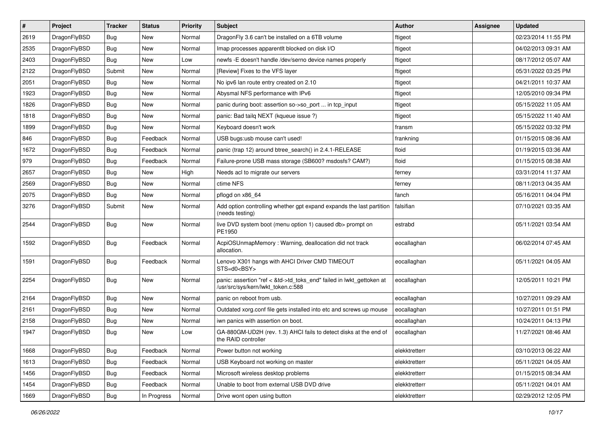| $\sharp$ | Project      | <b>Tracker</b> | <b>Status</b> | <b>Priority</b> | Subject                                                                                                    | <b>Author</b> | Assignee | <b>Updated</b>      |
|----------|--------------|----------------|---------------|-----------------|------------------------------------------------------------------------------------------------------------|---------------|----------|---------------------|
| 2619     | DragonFlyBSD | Bug            | <b>New</b>    | Normal          | DragonFly 3.6 can't be installed on a 6TB volume                                                           | ftigeot       |          | 02/23/2014 11:55 PM |
| 2535     | DragonFlyBSD | Bug            | <b>New</b>    | Normal          | Imap processes apparentlt blocked on disk I/O                                                              | ftigeot       |          | 04/02/2013 09:31 AM |
| 2403     | DragonFlyBSD | <b>Bug</b>     | <b>New</b>    | Low             | newfs -E doesn't handle /dev/serno device names properly                                                   | ftigeot       |          | 08/17/2012 05:07 AM |
| 2122     | DragonFlyBSD | Submit         | New           | Normal          | [Review] Fixes to the VFS layer                                                                            | ftigeot       |          | 05/31/2022 03:25 PM |
| 2051     | DragonFlyBSD | Bug            | <b>New</b>    | Normal          | No ipv6 lan route entry created on 2.10                                                                    | ftigeot       |          | 04/21/2011 10:37 AM |
| 1923     | DragonFlyBSD | Bug            | <b>New</b>    | Normal          | Abysmal NFS performance with IPv6                                                                          | ftigeot       |          | 12/05/2010 09:34 PM |
| 1826     | DragonFlyBSD | <b>Bug</b>     | <b>New</b>    | Normal          | panic during boot: assertion so->so_port  in tcp_input                                                     | ftigeot       |          | 05/15/2022 11:05 AM |
| 1818     | DragonFlyBSD | <b>Bug</b>     | <b>New</b>    | Normal          | panic: Bad tailq NEXT (kqueue issue ?)                                                                     | ftigeot       |          | 05/15/2022 11:40 AM |
| 1899     | DragonFlyBSD | <b>Bug</b>     | New           | Normal          | Keyboard doesn't work                                                                                      | fransm        |          | 05/15/2022 03:32 PM |
| 846      | DragonFlyBSD | Bug            | Feedback      | Normal          | USB bugs:usb mouse can't used!                                                                             | frankning     |          | 01/15/2015 08:36 AM |
| 1672     | DragonFlyBSD | <b>Bug</b>     | Feedback      | Normal          | panic (trap 12) around btree_search() in 2.4.1-RELEASE                                                     | floid         |          | 01/19/2015 03:36 AM |
| 979      | DragonFlyBSD | Bug            | Feedback      | Normal          | Failure-prone USB mass storage (SB600? msdosfs? CAM?)                                                      | floid         |          | 01/15/2015 08:38 AM |
| 2657     | DragonFlyBSD | <b>Bug</b>     | New           | High            | Needs acl to migrate our servers                                                                           | ferney        |          | 03/31/2014 11:37 AM |
| 2569     | DragonFlyBSD | <b>Bug</b>     | <b>New</b>    | Normal          | ctime NFS                                                                                                  | ferney        |          | 08/11/2013 04:35 AM |
| 2075     | DragonFlyBSD | Bug            | <b>New</b>    | Normal          | pflogd on x86_64                                                                                           | fanch         |          | 05/16/2011 04:04 PM |
| 3276     | DragonFlyBSD | Submit         | New           | Normal          | Add option controlling whether gpt expand expands the last partition<br>(needs testing)                    | falsifian     |          | 07/10/2021 03:35 AM |
| 2544     | DragonFlyBSD | <b>Bug</b>     | <b>New</b>    | Normal          | live DVD system boot (menu option 1) caused db> prompt on<br>PE1950                                        | estrabd       |          | 05/11/2021 03:54 AM |
| 1592     | DragonFlyBSD | Bug            | Feedback      | Normal          | AcpiOSUnmapMemory: Warning, deallocation did not track<br>allocation.                                      | eocallaghan   |          | 06/02/2014 07:45 AM |
| 1591     | DragonFlyBSD | Bug            | Feedback      | Normal          | Lenovo X301 hangs with AHCI Driver CMD TIMEOUT<br>STS=d0 <bsy></bsy>                                       | eocallaghan   |          | 05/11/2021 04:05 AM |
| 2254     | DragonFlyBSD | <b>Bug</b>     | New           | Normal          | panic: assertion "ref < &td->td_toks_end" failed in lwkt_gettoken at<br>/usr/src/sys/kern/lwkt_token.c:588 | eocallaghan   |          | 12/05/2011 10:21 PM |
| 2164     | DragonFlyBSD | Bug            | New           | Normal          | panic on reboot from usb.                                                                                  | eocallaghan   |          | 10/27/2011 09:29 AM |
| 2161     | DragonFlyBSD | <b>Bug</b>     | <b>New</b>    | Normal          | Outdated xorg.conf file gets installed into etc and screws up mouse                                        | eocallaghan   |          | 10/27/2011 01:51 PM |
| 2158     | DragonFlyBSD | <b>Bug</b>     | New           | Normal          | iwn panics with assertion on boot.                                                                         | eocallaghan   |          | 10/24/2011 04:13 PM |
| 1947     | DragonFlyBSD | Bug            | <b>New</b>    | Low             | GA-880GM-UD2H (rev. 1.3) AHCI fails to detect disks at the end of<br>the RAID controller                   | eocallaghan   |          | 11/27/2021 08:46 AM |
| 1668     | DragonFlyBSD | Bug            | Feedback      | Normal          | Power button not working                                                                                   | elekktretterr |          | 03/10/2013 06:22 AM |
| 1613     | DragonFlyBSD | Bug            | Feedback      | Normal          | USB Keyboard not working on master                                                                         | elekktretterr |          | 05/11/2021 04:05 AM |
| 1456     | DragonFlyBSD | <b>Bug</b>     | Feedback      | Normal          | Microsoft wireless desktop problems                                                                        | elekktretterr |          | 01/15/2015 08:34 AM |
| 1454     | DragonFlyBSD | <b>Bug</b>     | Feedback      | Normal          | Unable to boot from external USB DVD drive                                                                 | elekktretterr |          | 05/11/2021 04:01 AM |
| 1669     | DragonFlyBSD | <b>Bug</b>     | In Progress   | Normal          | Drive wont open using button                                                                               | elekktretterr |          | 02/29/2012 12:05 PM |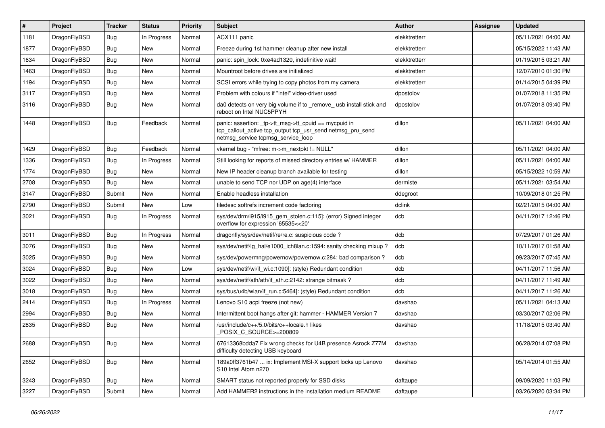| #    | Project      | <b>Tracker</b> | <b>Status</b> | <b>Priority</b> | Subject                                                                                                                                                  | Author        | Assignee | <b>Updated</b>      |
|------|--------------|----------------|---------------|-----------------|----------------------------------------------------------------------------------------------------------------------------------------------------------|---------------|----------|---------------------|
| 1181 | DragonFlyBSD | <b>Bug</b>     | In Progress   | Normal          | ACX111 panic                                                                                                                                             | elekktretterr |          | 05/11/2021 04:00 AM |
| 1877 | DragonFlyBSD | Bug            | New           | Normal          | Freeze during 1st hammer cleanup after new install                                                                                                       | elekktretterr |          | 05/15/2022 11:43 AM |
| 1634 | DragonFlyBSD | <b>Bug</b>     | New           | Normal          | panic: spin lock: 0xe4ad1320, indefinitive wait!                                                                                                         | elekktretterr |          | 01/19/2015 03:21 AM |
| 1463 | DragonFlyBSD | <b>Bug</b>     | New           | Normal          | Mountroot before drives are initialized                                                                                                                  | elekktretterr |          | 12/07/2010 01:30 PM |
| 1194 | DragonFlyBSD | <b>Bug</b>     | New           | Normal          | SCSI errors while trying to copy photos from my camera                                                                                                   | elekktretterr |          | 01/14/2015 04:39 PM |
| 3117 | DragonFlyBSD | <b>Bug</b>     | New           | Normal          | Problem with colours if "intel" video-driver used                                                                                                        | dpostolov     |          | 01/07/2018 11:35 PM |
| 3116 | DragonFlyBSD | <b>Bug</b>     | New           | Normal          | da0 detects on very big volume if to _remove_usb install stick and<br>reboot on Intel NUC5PPYH                                                           | dpostolov     |          | 01/07/2018 09:40 PM |
| 1448 | DragonFlyBSD | <b>Bug</b>     | Feedback      | Normal          | panic: assertion: tp->tt_msg->tt_cpuid == mycpuid in<br>tcp_callout_active tcp_output tcp_usr_send netmsg_pru_send<br>netmsg_service tcpmsg_service_loop | dillon        |          | 05/11/2021 04:00 AM |
| 1429 | DragonFlyBSD | <b>Bug</b>     | Feedback      | Normal          | vkernel bug - "mfree: m->m nextpkt != NULL"                                                                                                              | dillon        |          | 05/11/2021 04:00 AM |
| 1336 | DragonFlyBSD | <b>Bug</b>     | In Progress   | Normal          | Still looking for reports of missed directory entries w/ HAMMER                                                                                          | dillon        |          | 05/11/2021 04:00 AM |
| 1774 | DragonFlyBSD | <b>Bug</b>     | New           | Normal          | New IP header cleanup branch available for testing                                                                                                       | dillon        |          | 05/15/2022 10:59 AM |
| 2708 | DragonFlyBSD | <b>Bug</b>     | <b>New</b>    | Normal          | unable to send TCP nor UDP on age(4) interface                                                                                                           | dermiste      |          | 05/11/2021 03:54 AM |
| 3147 | DragonFlyBSD | Submit         | New           | Normal          | Enable headless installation                                                                                                                             | ddegroot      |          | 10/09/2018 01:25 PM |
| 2790 | DragonFlyBSD | Submit         | New           | Low             | filedesc softrefs increment code factoring                                                                                                               | dclink        |          | 02/21/2015 04:00 AM |
| 3021 | DragonFlyBSD | <b>Bug</b>     | In Progress   | Normal          | sys/dev/drm/i915/i915_gem_stolen.c:115]: (error) Signed integer<br>overflow for expression '65535<<20'                                                   | dcb           |          | 04/11/2017 12:46 PM |
| 3011 | DragonFlyBSD | <b>Bug</b>     | In Progress   | Normal          | dragonfly/sys/dev/netif/re/re.c: suspicious code?                                                                                                        | dcb           |          | 07/29/2017 01:26 AM |
| 3076 | DragonFlyBSD | Bug            | <b>New</b>    | Normal          | sys/dev/netif/ig_hal/e1000_ich8lan.c:1594: sanity checking mixup?                                                                                        | dcb           |          | 10/11/2017 01:58 AM |
| 3025 | DragonFlyBSD | <b>Bug</b>     | New           | Normal          | sys/dev/powermng/powernow/powernow.c:284: bad comparison?                                                                                                | dcb           |          | 09/23/2017 07:45 AM |
| 3024 | DragonFlyBSD | <b>Bug</b>     | New           | Low             | sys/dev/netif/wi/if_wi.c:1090]: (style) Redundant condition                                                                                              | dcb           |          | 04/11/2017 11:56 AM |
| 3022 | DragonFlyBSD | Bug            | New           | Normal          | sys/dev/netif/ath/ath/if ath.c:2142: strange bitmask?                                                                                                    | dcb           |          | 04/11/2017 11:49 AM |
| 3018 | DragonFlyBSD | <b>Bug</b>     | New           | Normal          | sys/bus/u4b/wlan/if_run.c:5464]: (style) Redundant condition                                                                                             | dcb           |          | 04/11/2017 11:26 AM |
| 2414 | DragonFlyBSD | <b>Bug</b>     | In Progress   | Normal          | Lenovo S10 acpi freeze (not new)                                                                                                                         | davshao       |          | 05/11/2021 04:13 AM |
| 2994 | DragonFlyBSD | Bug            | New           | Normal          | Intermittent boot hangs after git: hammer - HAMMER Version 7                                                                                             | davshao       |          | 03/30/2017 02:06 PM |
| 2835 | DragonFlyBSD | Bug            | New           | Normal          | /usr/include/c++/5.0/bits/c++locale.h likes<br>POSIX C SOURCE>=200809                                                                                    | davshao       |          | 11/18/2015 03:40 AM |
| 2688 | DragonFlyBSD | <b>Bug</b>     | New           | Normal          | 67613368bdda7 Fix wrong checks for U4B presence Asrock Z77M<br>difficulty detecting USB keyboard                                                         | davshao       |          | 06/28/2014 07:08 PM |
| 2652 | DragonFlyBSD | <b>Bug</b>     | New           | Normal          | 189a0ff3761b47  ix: Implement MSI-X support locks up Lenovo<br>S10 Intel Atom n270                                                                       | davshao       |          | 05/14/2014 01:55 AM |
| 3243 | DragonFlyBSD | <b>Bug</b>     | New           | Normal          | SMART status not reported properly for SSD disks                                                                                                         | daftaupe      |          | 09/09/2020 11:03 PM |
| 3227 | DragonFlyBSD | Submit         | New           | Normal          | Add HAMMER2 instructions in the installation medium README                                                                                               | daftaupe      |          | 03/26/2020 03:34 PM |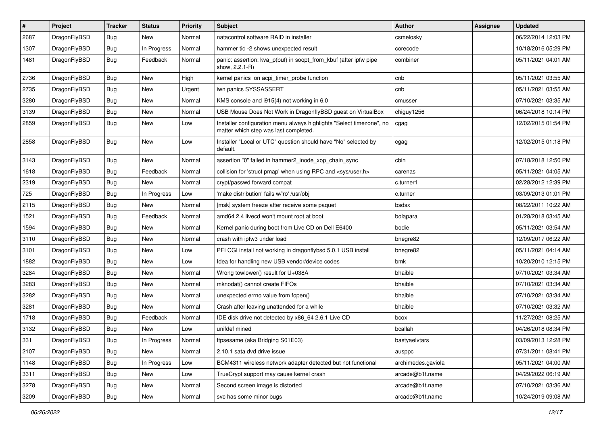| $\sharp$ | Project      | <b>Tracker</b> | <b>Status</b> | <b>Priority</b> | <b>Subject</b>                                                                                                | Author             | Assignee | <b>Updated</b>      |
|----------|--------------|----------------|---------------|-----------------|---------------------------------------------------------------------------------------------------------------|--------------------|----------|---------------------|
| 2687     | DragonFlyBSD | <b>Bug</b>     | New           | Normal          | natacontrol software RAID in installer                                                                        | csmelosky          |          | 06/22/2014 12:03 PM |
| 1307     | DragonFlyBSD | Bug            | In Progress   | Normal          | hammer tid -2 shows unexpected result                                                                         | corecode           |          | 10/18/2016 05:29 PM |
| 1481     | DragonFlyBSD | <b>Bug</b>     | Feedback      | Normal          | panic: assertion: kva_p(buf) in soopt_from_kbuf (after ipfw pipe<br>show, 2.2.1-R)                            | combiner           |          | 05/11/2021 04:01 AM |
| 2736     | DragonFlyBSD | Bug            | <b>New</b>    | High            | kernel panics on acpi_timer_probe function                                                                    | cnb                |          | 05/11/2021 03:55 AM |
| 2735     | DragonFlyBSD | <b>Bug</b>     | New           | Urgent          | iwn panics SYSSASSERT                                                                                         | cnb                |          | 05/11/2021 03:55 AM |
| 3280     | DragonFlyBSD | <b>Bug</b>     | New           | Normal          | KMS console and i915(4) not working in 6.0                                                                    | cmusser            |          | 07/10/2021 03:35 AM |
| 3139     | DragonFlyBSD | <b>Bug</b>     | New           | Normal          | USB Mouse Does Not Work in DragonflyBSD guest on VirtualBox                                                   | chiguy1256         |          | 06/24/2018 10:14 PM |
| 2859     | DragonFlyBSD | <b>Bug</b>     | New           | Low             | Installer configuration menu always highlights "Select timezone", no<br>matter which step was last completed. | cgag               |          | 12/02/2015 01:54 PM |
| 2858     | DragonFlyBSD | Bug            | <b>New</b>    | Low             | Installer "Local or UTC" question should have "No" selected by<br>default.                                    | cgag               |          | 12/02/2015 01:18 PM |
| 3143     | DragonFlyBSD | Bug            | <b>New</b>    | Normal          | assertion "0" failed in hammer2_inode_xop_chain_sync                                                          | cbin               |          | 07/18/2018 12:50 PM |
| 1618     | DragonFlyBSD | <b>Bug</b>     | Feedback      | Normal          | collision for 'struct pmap' when using RPC and <sys user.h=""></sys>                                          | carenas            |          | 05/11/2021 04:05 AM |
| 2319     | DragonFlyBSD | <b>Bug</b>     | New           | Normal          | crypt/passwd forward compat                                                                                   | c.turner1          |          | 02/28/2012 12:39 PM |
| 725      | DragonFlyBSD | <b>Bug</b>     | In Progress   | Low             | 'make distribution' fails w/'ro' /usr/obj                                                                     | c.turner           |          | 03/09/2013 01:01 PM |
| 2115     | DragonFlyBSD | <b>Bug</b>     | <b>New</b>    | Normal          | [msk] system freeze after receive some paquet                                                                 | bsdsx              |          | 08/22/2011 10:22 AM |
| 1521     | DragonFlyBSD | Bug            | Feedback      | Normal          | amd64 2.4 livecd won't mount root at boot                                                                     | bolapara           |          | 01/28/2018 03:45 AM |
| 1594     | DragonFlyBSD | <b>Bug</b>     | <b>New</b>    | Normal          | Kernel panic during boot from Live CD on Dell E6400                                                           | bodie              |          | 05/11/2021 03:54 AM |
| 3110     | DragonFlyBSD | <b>Bug</b>     | New           | Normal          | crash with ipfw3 under load                                                                                   | bnegre82           |          | 12/09/2017 06:22 AM |
| 3101     | DragonFlyBSD | <b>Bug</b>     | New           | Low             | PFI CGI install not working in dragonflybsd 5.0.1 USB install                                                 | bnegre82           |          | 05/11/2021 04:14 AM |
| 1882     | DragonFlyBSD | <b>Bug</b>     | <b>New</b>    | Low             | Idea for handling new USB vendor/device codes                                                                 | bmk                |          | 10/20/2010 12:15 PM |
| 3284     | DragonFlyBSD | Bug            | <b>New</b>    | Normal          | Wrong towlower() result for U+038A                                                                            | bhaible            |          | 07/10/2021 03:34 AM |
| 3283     | DragonFlyBSD | <b>Bug</b>     | <b>New</b>    | Normal          | mknodat() cannot create FIFOs                                                                                 | bhaible            |          | 07/10/2021 03:34 AM |
| 3282     | DragonFlyBSD | <b>Bug</b>     | New           | Normal          | unexpected errno value from fopen()                                                                           | bhaible            |          | 07/10/2021 03:34 AM |
| 3281     | DragonFlyBSD | Bug            | <b>New</b>    | Normal          | Crash after leaving unattended for a while                                                                    | bhaible            |          | 07/10/2021 03:32 AM |
| 1718     | DragonFlyBSD | <b>Bug</b>     | Feedback      | Normal          | IDE disk drive not detected by x86_64 2.6.1 Live CD                                                           | bcox               |          | 11/27/2021 08:25 AM |
| 3132     | DragonFlyBSD | <b>Bug</b>     | New           | Low             | unifdef mined                                                                                                 | bcallah            |          | 04/26/2018 08:34 PM |
| 331      | DragonFlyBSD | Bug            | In Progress   | Normal          | ftpsesame (aka Bridging S01E03)                                                                               | bastyaelvtars      |          | 03/09/2013 12:28 PM |
| 2107     | DragonFlyBSD | <b>Bug</b>     | New           | Normal          | 2.10.1 sata dvd drive issue                                                                                   | ausppc             |          | 07/31/2011 08:41 PM |
| 1148     | DragonFlyBSD | Bug            | In Progress   | Low             | BCM4311 wireless network adapter detected but not functional                                                  | archimedes.gaviola |          | 05/11/2021 04:00 AM |
| 3311     | DragonFlyBSD | Bug            | New           | Low             | TrueCrypt support may cause kernel crash                                                                      | arcade@b1t.name    |          | 04/29/2022 06:19 AM |
| 3278     | DragonFlyBSD | Bug            | New           | Normal          | Second screen image is distorted                                                                              | arcade@b1t.name    |          | 07/10/2021 03:36 AM |
| 3209     | DragonFlyBSD | <b>Bug</b>     | New           | Normal          | svc has some minor bugs                                                                                       | arcade@b1t.name    |          | 10/24/2019 09:08 AM |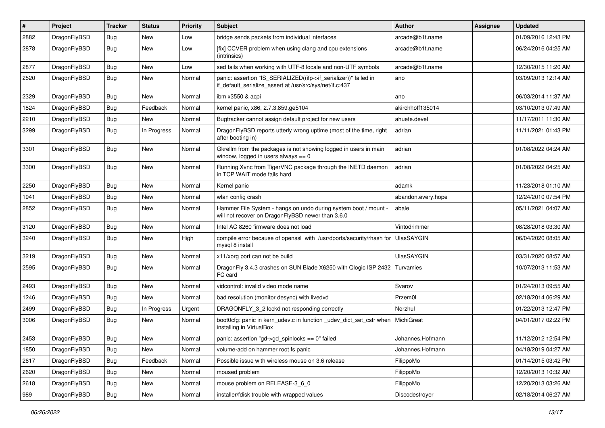| $\pmb{\#}$ | Project      | <b>Tracker</b> | <b>Status</b> | <b>Priority</b> | Subject                                                                                                                      | <b>Author</b>      | <b>Assignee</b> | <b>Updated</b>      |
|------------|--------------|----------------|---------------|-----------------|------------------------------------------------------------------------------------------------------------------------------|--------------------|-----------------|---------------------|
| 2882       | DragonFlyBSD | Bug            | New           | Low             | bridge sends packets from individual interfaces                                                                              | arcade@b1t.name    |                 | 01/09/2016 12:43 PM |
| 2878       | DragonFlyBSD | Bug            | <b>New</b>    | Low             | [fix] CCVER problem when using clang and cpu extensions<br>(intrinsics)                                                      | arcade@b1t.name    |                 | 06/24/2016 04:25 AM |
| 2877       | DragonFlyBSD | Bug            | <b>New</b>    | Low             | sed fails when working with UTF-8 locale and non-UTF symbols                                                                 | arcade@b1t.name    |                 | 12/30/2015 11:20 AM |
| 2520       | DragonFlyBSD | Bug            | <b>New</b>    | Normal          | panic: assertion "IS_SERIALIZED((ifp->if_serializer))" failed in<br>if_default_serialize_assert at /usr/src/sys/net/if.c:437 | ano                |                 | 03/09/2013 12:14 AM |
| 2329       | DragonFlyBSD | Bug            | <b>New</b>    | Normal          | ibm x3550 & acpi                                                                                                             | ano                |                 | 06/03/2014 11:37 AM |
| 1824       | DragonFlyBSD | Bug            | Feedback      | Normal          | kernel panic, x86, 2.7.3.859.ge5104                                                                                          | akirchhoff135014   |                 | 03/10/2013 07:49 AM |
| 2210       | DragonFlyBSD | Bug            | <b>New</b>    | Normal          | Bugtracker cannot assign default project for new users                                                                       | ahuete.devel       |                 | 11/17/2011 11:30 AM |
| 3299       | DragonFlyBSD | Bug            | In Progress   | Normal          | DragonFlyBSD reports utterly wrong uptime (most of the time, right<br>after booting in)                                      | adrian             |                 | 11/11/2021 01:43 PM |
| 3301       | DragonFlyBSD | Bug            | <b>New</b>    | Normal          | Gkrellm from the packages is not showing logged in users in main<br>window, logged in users always $== 0$                    | adrian             |                 | 01/08/2022 04:24 AM |
| 3300       | DragonFlyBSD | Bug            | <b>New</b>    | Normal          | Running Xvnc from TigerVNC package through the INETD daemon<br>in TCP WAIT mode fails hard                                   | adrian             |                 | 01/08/2022 04:25 AM |
| 2250       | DragonFlyBSD | Bug            | <b>New</b>    | Normal          | Kernel panic                                                                                                                 | adamk              |                 | 11/23/2018 01:10 AM |
| 1941       | DragonFlyBSD | Bug            | New           | Normal          | wlan config crash                                                                                                            | abandon.every.hope |                 | 12/24/2010 07:54 PM |
| 2852       | DragonFlyBSD | <b>Bug</b>     | New           | Normal          | Hammer File System - hangs on undo during system boot / mount -<br>will not recover on DragonFlyBSD newer than 3.6.0         | abale              |                 | 05/11/2021 04:07 AM |
| 3120       | DragonFlyBSD | Bug            | <b>New</b>    | Normal          | Intel AC 8260 firmware does not load                                                                                         | Vintodrimmer       |                 | 08/28/2018 03:30 AM |
| 3240       | DragonFlyBSD | Bug            | <b>New</b>    | High            | compile error because of openssl with /usr/dports/security/rhash for<br>mysql 8 install                                      | <b>UlasSAYGIN</b>  |                 | 06/04/2020 08:05 AM |
| 3219       | DragonFlyBSD | Bug            | <b>New</b>    | Normal          | x11/xorg port can not be build                                                                                               | <b>UlasSAYGIN</b>  |                 | 03/31/2020 08:57 AM |
| 2595       | DragonFlyBSD | Bug            | <b>New</b>    | Normal          | DragonFly 3.4.3 crashes on SUN Blade X6250 with Qlogic ISP 2432<br>FC card                                                   | Turvamies          |                 | 10/07/2013 11:53 AM |
| 2493       | DragonFlyBSD | <b>Bug</b>     | <b>New</b>    | Normal          | vidcontrol: invalid video mode name                                                                                          | Svarov             |                 | 01/24/2013 09:55 AM |
| 1246       | DragonFlyBSD | Bug            | <b>New</b>    | Normal          | bad resolution (monitor desync) with livedvd                                                                                 | Przem0l            |                 | 02/18/2014 06:29 AM |
| 2499       | DragonFlyBSD | Bug            | In Progress   | Urgent          | DRAGONFLY_3_2 lockd not responding correctly                                                                                 | Nerzhul            |                 | 01/22/2013 12:47 PM |
| 3006       | DragonFlyBSD | Bug            | <b>New</b>    | Normal          | boot0cfg: panic in kern_udev.c in function _udev_dict_set_cstr when<br>installing in VirtualBox                              | MichiGreat         |                 | 04/01/2017 02:22 PM |
| 2453       | DragonFlyBSD | Bug            | <b>New</b>    | Normal          | panic: assertion "gd->gd_spinlocks == 0" failed                                                                              | Johannes.Hofmann   |                 | 11/12/2012 12:54 PM |
| 1850       | DragonFlyBSD | Bug            | New           | Normal          | volume-add on hammer root fs panic                                                                                           | Johannes.Hofmann   |                 | 04/18/2019 04:27 AM |
| 2617       | DragonFlyBSD | Bug            | Feedback      | Normal          | Possible issue with wireless mouse on 3.6 release                                                                            | FilippoMo          |                 | 01/14/2015 03:42 PM |
| 2620       | DragonFlyBSD | <b>Bug</b>     | <b>New</b>    | Normal          | moused problem                                                                                                               | FilippoMo          |                 | 12/20/2013 10:32 AM |
| 2618       | DragonFlyBSD | <b>Bug</b>     | New           | Normal          | mouse problem on RELEASE-3_6_0                                                                                               | FilippoMo          |                 | 12/20/2013 03:26 AM |
| 989        | DragonFlyBSD | Bug            | New           | Normal          | installer/fdisk trouble with wrapped values                                                                                  | Discodestroyer     |                 | 02/18/2014 06:27 AM |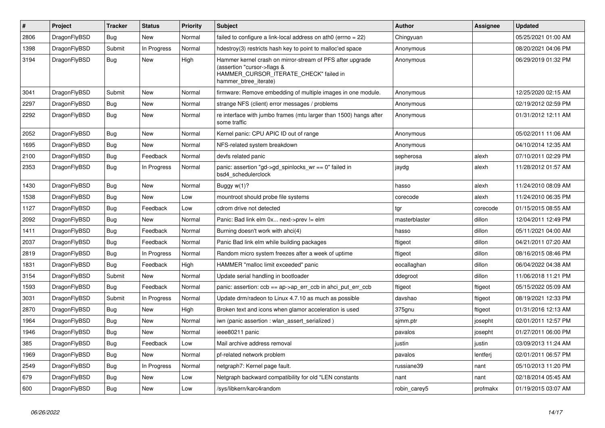| $\vert$ # | Project      | <b>Tracker</b> | <b>Status</b> | <b>Priority</b> | <b>Subject</b>                                                                                                                                              | <b>Author</b> | Assignee | Updated             |
|-----------|--------------|----------------|---------------|-----------------|-------------------------------------------------------------------------------------------------------------------------------------------------------------|---------------|----------|---------------------|
| 2806      | DragonFlyBSD | Bug            | New           | Normal          | failed to configure a link-local address on ath0 (errno = 22)                                                                                               | Chingyuan     |          | 05/25/2021 01:00 AM |
| 1398      | DragonFlyBSD | Submit         | In Progress   | Normal          | hdestroy(3) restricts hash key to point to malloc'ed space                                                                                                  | Anonymous     |          | 08/20/2021 04:06 PM |
| 3194      | DragonFlyBSD | Bug            | New           | High            | Hammer kernel crash on mirror-stream of PFS after upgrade<br>(assertion "cursor->flags &<br>HAMMER CURSOR ITERATE CHECK" failed in<br>hammer btree iterate) | Anonymous     |          | 06/29/2019 01:32 PM |
| 3041      | DragonFlyBSD | Submit         | <b>New</b>    | Normal          | firmware: Remove embedding of multiple images in one module.                                                                                                | Anonymous     |          | 12/25/2020 02:15 AM |
| 2297      | DragonFlyBSD | <b>Bug</b>     | <b>New</b>    | Normal          | strange NFS (client) error messages / problems                                                                                                              | Anonymous     |          | 02/19/2012 02:59 PM |
| 2292      | DragonFlyBSD | Bug            | New           | Normal          | re interface with jumbo frames (mtu larger than 1500) hangs after<br>some traffic                                                                           | Anonymous     |          | 01/31/2012 12:11 AM |
| 2052      | DragonFlyBSD | <b>Bug</b>     | <b>New</b>    | Normal          | Kernel panic: CPU APIC ID out of range                                                                                                                      | Anonymous     |          | 05/02/2011 11:06 AM |
| 1695      | DragonFlyBSD | <b>Bug</b>     | New           | Normal          | NFS-related system breakdown                                                                                                                                | Anonymous     |          | 04/10/2014 12:35 AM |
| 2100      | DragonFlyBSD | Bug            | Feedback      | Normal          | devfs related panic                                                                                                                                         | sepherosa     | alexh    | 07/10/2011 02:29 PM |
| 2353      | DragonFlyBSD | Bug            | In Progress   | Normal          | panic: assertion "gd->gd_spinlocks_wr == 0" failed in<br>bsd4_schedulerclock                                                                                | jaydg         | alexh    | 11/28/2012 01:57 AM |
| 1430      | DragonFlyBSD | Bug            | New           | Normal          | Buggy $w(1)$ ?                                                                                                                                              | hasso         | alexh    | 11/24/2010 08:09 AM |
| 1538      | DragonFlyBSD | Bug            | New           | Low             | mountroot should probe file systems                                                                                                                         | corecode      | alexh    | 11/24/2010 06:35 PM |
| 1127      | DragonFlyBSD | <b>Bug</b>     | Feedback      | Low             | cdrom drive not detected                                                                                                                                    | tgr           | corecode | 01/15/2015 08:55 AM |
| 2092      | DragonFlyBSD | <b>Bug</b>     | New           | Normal          | Panic: Bad link elm 0x next->prev != elm                                                                                                                    | masterblaster | dillon   | 12/04/2011 12:49 PM |
| 1411      | DragonFlyBSD | Bug            | Feedback      | Normal          | Burning doesn't work with ahci(4)                                                                                                                           | hasso         | dillon   | 05/11/2021 04:00 AM |
| 2037      | DragonFlyBSD | <b>Bug</b>     | Feedback      | Normal          | Panic Bad link elm while building packages                                                                                                                  | ftigeot       | dillon   | 04/21/2011 07:20 AM |
| 2819      | DragonFlyBSD | Bug            | In Progress   | Normal          | Random micro system freezes after a week of uptime                                                                                                          | ftigeot       | dillon   | 08/16/2015 08:46 PM |
| 1831      | DragonFlyBSD | Bug            | Feedback      | High            | HAMMER "malloc limit exceeded" panic                                                                                                                        | eocallaghan   | dillon   | 06/04/2022 04:38 AM |
| 3154      | DragonFlyBSD | Submit         | New           | Normal          | Update serial handling in bootloader                                                                                                                        | ddegroot      | dillon   | 11/06/2018 11:21 PM |
| 1593      | DragonFlyBSD | <b>Bug</b>     | Feedback      | Normal          | panic: assertion: $ccb == ap > ap\_err\_ccb$ in ahci_put_err_ccb                                                                                            | ftigeot       | ftigeot  | 05/15/2022 05:09 AM |
| 3031      | DragonFlyBSD | Submit         | In Progress   | Normal          | Update drm/radeon to Linux 4.7.10 as much as possible                                                                                                       | davshao       | ftigeot  | 08/19/2021 12:33 PM |
| 2870      | DragonFlyBSD | Bug            | New           | High            | Broken text and icons when glamor acceleration is used                                                                                                      | 375gnu        | ftigeot  | 01/31/2016 12:13 AM |
| 1964      | DragonFlyBSD | <b>Bug</b>     | New           | Normal          | iwn (panic assertion : wlan assert serialized)                                                                                                              | sjmm.ptr      | josepht  | 02/01/2011 12:57 PM |
| 1946      | DragonFlyBSD | <b>Bug</b>     | <b>New</b>    | Normal          | ieee80211 panic                                                                                                                                             | pavalos       | josepht  | 01/27/2011 06:00 PM |
| 385       | DragonFlyBSD | Bug            | Feedback      | Low             | Mail archive address removal                                                                                                                                | justin        | justin   | 03/09/2013 11:24 AM |
| 1969      | DragonFlyBSD | <b>Bug</b>     | New           | Normal          | pf-related network problem                                                                                                                                  | pavalos       | lentferj | 02/01/2011 06:57 PM |
| 2549      | DragonFlyBSD | Bug            | In Progress   | Normal          | netgraph7: Kernel page fault.                                                                                                                               | russiane39    | nant     | 05/10/2013 11:20 PM |
| 679       | DragonFlyBSD | <b>Bug</b>     | <b>New</b>    | Low             | Netgraph backward compatibility for old *LEN constants                                                                                                      | nant          | nant     | 02/18/2014 05:45 AM |
| 600       | DragonFlyBSD | <b>Bug</b>     | <b>New</b>    | Low             | /sys/libkern/karc4random                                                                                                                                    | robin carey5  | profmakx | 01/19/2015 03:07 AM |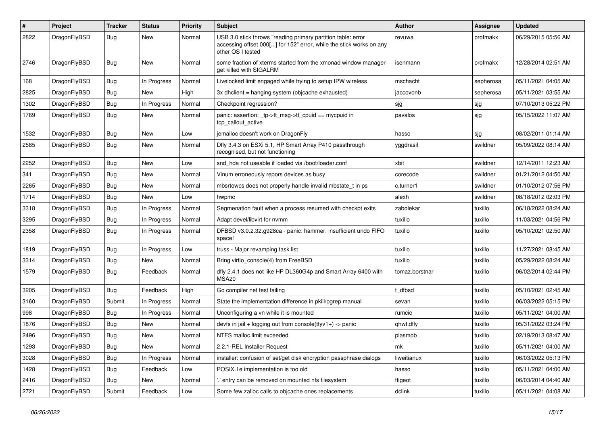| #    | Project      | <b>Tracker</b> | <b>Status</b> | <b>Priority</b> | <b>Subject</b>                                                                                                                                           | <b>Author</b>  | Assignee  | <b>Updated</b>      |
|------|--------------|----------------|---------------|-----------------|----------------------------------------------------------------------------------------------------------------------------------------------------------|----------------|-----------|---------------------|
| 2822 | DragonFlyBSD | Bug            | New           | Normal          | USB 3.0 stick throws "reading primary partition table: error<br>accessing offset 000[] for 152" error, while the stick works on any<br>other OS I tested | revuwa         | profmakx  | 06/29/2015 05:56 AM |
| 2746 | DragonFlyBSD | Bug            | New           | Normal          | some fraction of xterms started from the xmonad window manager<br>get killed with SIGALRM                                                                | isenmann       | profmakx  | 12/28/2014 02:51 AM |
| 168  | DragonFlyBSD | <b>Bug</b>     | In Progress   | Normal          | Livelocked limit engaged while trying to setup IPW wireless                                                                                              | mschacht       | sepherosa | 05/11/2021 04:05 AM |
| 2825 | DragonFlyBSD | <b>Bug</b>     | <b>New</b>    | High            | 3x dhclient = hanging system (objcache exhausted)                                                                                                        | jaccovonb      | sepherosa | 05/11/2021 03:55 AM |
| 1302 | DragonFlyBSD | Bug            | In Progress   | Normal          | Checkpoint regression?                                                                                                                                   | sjg            | sjg       | 07/10/2013 05:22 PM |
| 1769 | DragonFlyBSD | <b>Bug</b>     | New           | Normal          | panic: assertion: _tp->tt_msg->tt_cpuid == mycpuid in<br>tcp callout active                                                                              | pavalos        | sjg       | 05/15/2022 11:07 AM |
| 1532 | DragonFlyBSD | Bug            | <b>New</b>    | Low             | jemalloc doesn't work on DragonFly                                                                                                                       | hasso          | sjg       | 08/02/2011 01:14 AM |
| 2585 | DragonFlyBSD | <b>Bug</b>     | New           | Normal          | Dfly 3.4.3 on ESXi 5.1, HP Smart Array P410 passthrough<br>recognised, but not functioning                                                               | yggdrasil      | swildner  | 05/09/2022 08:14 AM |
| 2252 | DragonFlyBSD | Bug            | <b>New</b>    | Low             | snd hda not useable if loaded via /boot/loader.conf                                                                                                      | xbit           | swildner  | 12/14/2011 12:23 AM |
| 341  | DragonFlyBSD | <b>Bug</b>     | New           | Normal          | Vinum erroneously repors devices as busy                                                                                                                 | corecode       | swildner  | 01/21/2012 04:50 AM |
| 2265 | DragonFlyBSD | <b>Bug</b>     | New           | Normal          | mbsrtowcs does not properly handle invalid mbstate t in ps                                                                                               | c.turner1      | swildner  | 01/10/2012 07:56 PM |
| 1714 | DragonFlyBSD | <b>Bug</b>     | New           | Low             | hwpmc                                                                                                                                                    | alexh          | swildner  | 08/18/2012 02:03 PM |
| 3318 | DragonFlyBSD | <b>Bug</b>     | In Progress   | Normal          | Segmenation fault when a process resumed with checkpt exits                                                                                              | zabolekar      | tuxillo   | 06/18/2022 08:24 AM |
| 3295 | DragonFlyBSD | <b>Bug</b>     | In Progress   | Normal          | Adapt devel/libvirt for nvmm                                                                                                                             | tuxillo        | tuxillo   | 11/03/2021 04:56 PM |
| 2358 | DragonFlyBSD | <b>Bug</b>     | In Progress   | Normal          | DFBSD v3.0.2.32.g928ca - panic: hammer: insufficient undo FIFO<br>space!                                                                                 | tuxillo        | tuxillo   | 05/10/2021 02:50 AM |
| 1819 | DragonFlyBSD | <b>Bug</b>     | In Progress   | Low             | truss - Major revamping task list                                                                                                                        | tuxillo        | tuxillo   | 11/27/2021 08:45 AM |
| 3314 | DragonFlyBSD | <b>Bug</b>     | <b>New</b>    | Normal          | Bring virtio_console(4) from FreeBSD                                                                                                                     | tuxillo        | tuxillo   | 05/29/2022 08:24 AM |
| 1579 | DragonFlyBSD | <b>Bug</b>     | Feedback      | Normal          | dfly 2.4.1 does not like HP DL360G4p and Smart Array 6400 with<br>MSA20                                                                                  | tomaz.borstnar | tuxillo   | 06/02/2014 02:44 PM |
| 3205 | DragonFlyBSD | Bug            | Feedback      | High            | Go compiler net test failing                                                                                                                             | dfbsd          | tuxillo   | 05/10/2021 02:45 AM |
| 3160 | DragonFlyBSD | Submit         | In Progress   | Normal          | State the implementation difference in pkill/pgrep manual                                                                                                | sevan          | tuxillo   | 06/03/2022 05:15 PM |
| 998  | DragonFlyBSD | <b>Bug</b>     | In Progress   | Normal          | Unconfiguring a vn while it is mounted                                                                                                                   | rumcic         | tuxillo   | 05/11/2021 04:00 AM |
| 1876 | DragonFlyBSD | <b>Bug</b>     | <b>New</b>    | Normal          | devfs in $ ail + logging$ out from console(ttyv1+) -> panic                                                                                              | qhwt.dfly      | tuxillo   | 05/31/2022 03:24 PM |
| 2496 | DragonFlyBSD | Bug            | <b>New</b>    | Normal          | NTFS malloc limit exceeded                                                                                                                               | plasmob        | tuxillo   | 02/19/2013 08:47 AM |
| 1293 | DragonFlyBSD | Bug            | New           | Normal          | 2.2.1-REL Installer Request                                                                                                                              | mk             | tuxillo   | 05/11/2021 04:00 AM |
| 3028 | DragonFlyBSD | <b>Bug</b>     | In Progress   | Normal          | installer: confusion of set/get disk encryption passphrase dialogs                                                                                       | liweitianux    | tuxillo   | 06/03/2022 05:13 PM |
| 1428 | DragonFlyBSD | <b>Bug</b>     | Feedback      | Low             | POSIX.1e implementation is too old                                                                                                                       | hasso          | tuxillo   | 05/11/2021 04:00 AM |
| 2416 | DragonFlyBSD | <b>Bug</b>     | New           | Normal          | ' entry can be removed on mounted nfs filesystem                                                                                                         | ftigeot        | tuxillo   | 06/03/2014 04:40 AM |
| 2721 | DragonFlyBSD | Submit         | Feedback      | Low             | Some few zalloc calls to objcache ones replacements                                                                                                      | dclink         | tuxillo   | 05/11/2021 04:08 AM |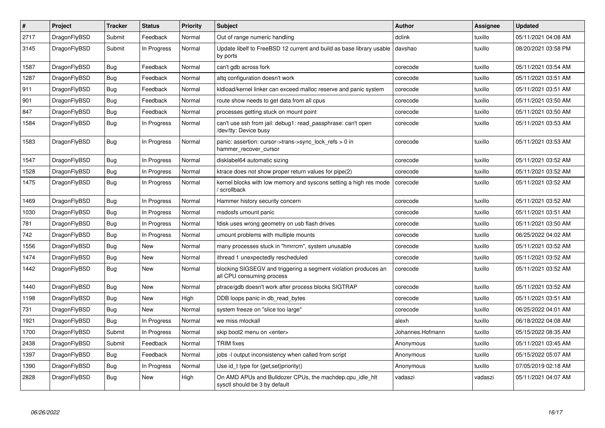| $\vert$ # | Project      | <b>Tracker</b> | <b>Status</b> | <b>Priority</b> | <b>Subject</b>                                                                               | Author           | Assignee | <b>Updated</b>      |
|-----------|--------------|----------------|---------------|-----------------|----------------------------------------------------------------------------------------------|------------------|----------|---------------------|
| 2717      | DragonFlyBSD | Submit         | Feedback      | Normal          | Out of range numeric handling                                                                | dclink           | tuxillo  | 05/11/2021 04:08 AM |
| 3145      | DragonFlyBSD | Submit         | In Progress   | Normal          | Update libelf to FreeBSD 12 current and build as base library usable<br>by ports             | davshao          | tuxillo  | 08/20/2021 03:58 PM |
| 1587      | DragonFlyBSD | <b>Bug</b>     | Feedback      | Normal          | can't gdb across fork                                                                        | corecode         | tuxillo  | 05/11/2021 03:54 AM |
| 1287      | DragonFlyBSD | <b>Bug</b>     | Feedback      | Normal          | altg configuration doesn't work                                                              | corecode         | tuxillo  | 05/11/2021 03:51 AM |
| 911       | DragonFlyBSD | <b>Bug</b>     | Feedback      | Normal          | kldload/kernel linker can exceed malloc reserve and panic system                             | corecode         | tuxillo  | 05/11/2021 03:51 AM |
| 901       | DragonFlyBSD | Bug            | Feedback      | Normal          | route show needs to get data from all cpus                                                   | corecode         | tuxillo  | 05/11/2021 03:50 AM |
| 847       | DragonFlyBSD | <b>Bug</b>     | Feedback      | Normal          | processes getting stuck on mount point                                                       | corecode         | tuxillo  | 05/11/2021 03:50 AM |
| 1584      | DragonFlyBSD | Bug            | In Progress   | Normal          | can't use ssh from jail: debug1: read passphrase: can't open<br>/dev/tty: Device busy        | corecode         | tuxillo  | 05/11/2021 03:53 AM |
| 1583      | DragonFlyBSD | <b>Bug</b>     | In Progress   | Normal          | panic: assertion: cursor->trans->sync_lock_refs > 0 in<br>hammer_recover_cursor              | corecode         | tuxillo  | 05/11/2021 03:53 AM |
| 1547      | DragonFlyBSD | <b>Bug</b>     | In Progress   | Normal          | disklabel64 automatic sizing                                                                 | corecode         | tuxillo  | 05/11/2021 03:52 AM |
| 1528      | DragonFlyBSD | Bug            | In Progress   | Normal          | ktrace does not show proper return values for pipe(2)                                        | corecode         | tuxillo  | 05/11/2021 03:52 AM |
| 1475      | DragonFlyBSD | <b>Bug</b>     | In Progress   | Normal          | kernel blocks with low memory and syscons setting a high res mode<br>/ scrollback            | corecode         | tuxillo  | 05/11/2021 03:52 AM |
| 1469      | DragonFlyBSD | Bug            | In Progress   | Normal          | Hammer history security concern                                                              | corecode         | tuxillo  | 05/11/2021 03:52 AM |
| 1030      | DragonFlyBSD | <b>Bug</b>     | In Progress   | Normal          | msdosfs umount panic                                                                         | corecode         | tuxillo  | 05/11/2021 03:51 AM |
| 781       | DragonFlyBSD | Bug            | In Progress   | Normal          | fdisk uses wrong geometry on usb flash drives                                                | corecode         | tuxillo  | 05/11/2021 03:50 AM |
| 742       | DragonFlyBSD | <b>Bug</b>     | In Progress   | Normal          | umount problems with multiple mounts                                                         | corecode         | tuxillo  | 06/25/2022 04:02 AM |
| 1556      | DragonFlyBSD | Bug            | New           | Normal          | many processes stuck in "hmrrcm", system unusable                                            | corecode         | tuxillo  | 05/11/2021 03:52 AM |
| 1474      | DragonFlyBSD | <b>Bug</b>     | New           | Normal          | ithread 1 unexpectedly rescheduled                                                           | corecode         | tuxillo  | 05/11/2021 03:52 AM |
| 1442      | DragonFlyBSD | Bug            | New           | Normal          | blocking SIGSEGV and triggering a segment violation produces an<br>all CPU consuming process | corecode         | tuxillo  | 05/11/2021 03:52 AM |
| 1440      | DragonFlyBSD | <b>Bug</b>     | <b>New</b>    | Normal          | ptrace/gdb doesn't work after process blocks SIGTRAP                                         | corecode         | tuxillo  | 05/11/2021 03:52 AM |
| 1198      | DragonFlyBSD | Bug            | New           | High            | DDB loops panic in db read bytes                                                             | corecode         | tuxillo  | 05/11/2021 03:51 AM |
| 731       | DragonFlyBSD | <b>Bug</b>     | New           | Normal          | system freeze on "slice too large"                                                           | corecode         | tuxillo  | 06/25/2022 04:01 AM |
| 1921      | DragonFlyBSD | Bug            | In Progress   | Normal          | we miss mlockall                                                                             | alexh            | tuxillo  | 06/18/2022 04:08 AM |
| 1700      | DragonFlyBSD | Submit         | In Progress   | Normal          | skip boot2 menu on <enter></enter>                                                           | Johannes.Hofmann | tuxillo  | 05/15/2022 08:35 AM |
| 2438      | DragonFlyBSD | Submit         | Feedback      | Normal          | <b>TRIM</b> fixes                                                                            | Anonymous        | tuxillo  | 05/11/2021 03:45 AM |
| 1397      | DragonFlyBSD | <b>Bug</b>     | Feedback      | Normal          | jobs -I output inconsistency when called from script                                         | Anonymous        | tuxillo  | 05/15/2022 05:07 AM |
| 1390      | DragonFlyBSD | Bug            | In Progress   | Normal          | Use id_t type for {get,set}priority()                                                        | Anonymous        | tuxillo  | 07/05/2019 02:18 AM |
| 2828      | DragonFlyBSD | Bug            | <b>New</b>    | High            | On AMD APUs and Bulldozer CPUs, the machdep.cpu idle hit<br>sysctl should be 3 by default    | vadaszi          | vadaszi  | 05/11/2021 04:07 AM |